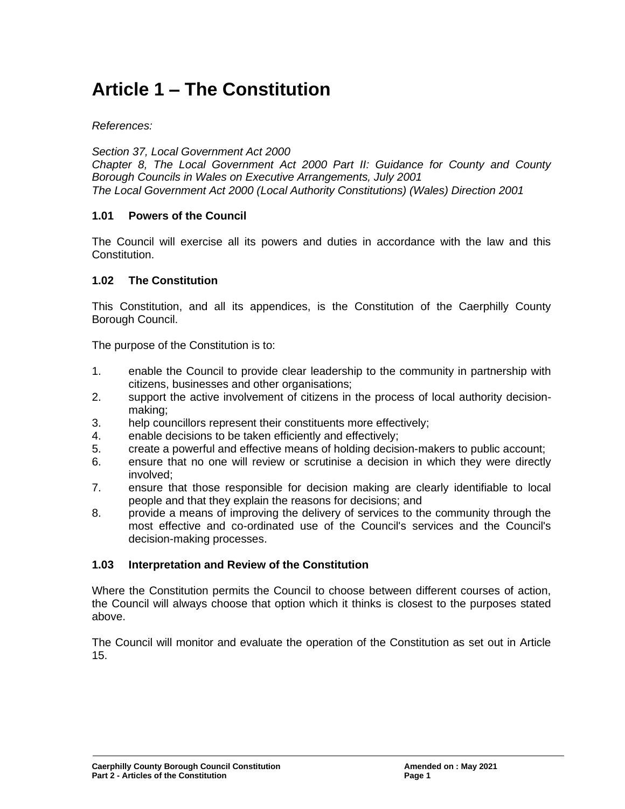# **Article 1 – The Constitution**

*References:*

*Section 37, Local Government Act 2000 Chapter 8, The Local Government Act 2000 Part II: Guidance for County and County Borough Councils in Wales on Executive Arrangements, July 2001 The Local Government Act 2000 (Local Authority Constitutions) (Wales) Direction 2001*

## **1.01 Powers of the Council**

The Council will exercise all its powers and duties in accordance with the law and this Constitution.

### **1.02 The Constitution**

This Constitution, and all its appendices, is the Constitution of the Caerphilly County Borough Council.

The purpose of the Constitution is to:

- 1. enable the Council to provide clear leadership to the community in partnership with citizens, businesses and other organisations;
- 2. support the active involvement of citizens in the process of local authority decisionmaking;
- 3. help councillors represent their constituents more effectively;
- 4. enable decisions to be taken efficiently and effectively;
- 5. create a powerful and effective means of holding decision-makers to public account;
- 6. ensure that no one will review or scrutinise a decision in which they were directly involved;
- 7. ensure that those responsible for decision making are clearly identifiable to local people and that they explain the reasons for decisions; and
- 8. provide a means of improving the delivery of services to the community through the most effective and co-ordinated use of the Council's services and the Council's decision-making processes.

#### **1.03 Interpretation and Review of the Constitution**

Where the Constitution permits the Council to choose between different courses of action, the Council will always choose that option which it thinks is closest to the purposes stated above.

The Council will monitor and evaluate the operation of the Constitution as set out in Article 15.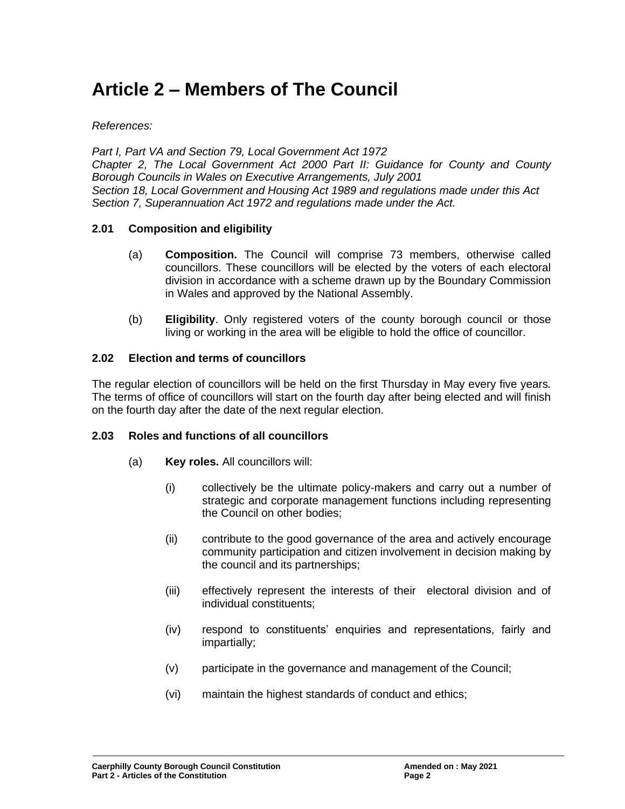# **Article 2 – Members of The Council**

### *References:*

*Part I, Part VA and Section 79, Local Government Act 1972 Chapter 2, The Local Government Act 2000 Part II: Guidance for County and County Borough Councils in Wales on Executive Arrangements, July 2001 Section 18, Local Government and Housing Act 1989 and regulations made under this Act Section 7, Superannuation Act 1972 and regulations made under the Act.*

### **2.01 Composition and eligibility**

- (a) **Composition.** The Council will comprise 73 members, otherwise called councillors. These councillors will be elected by the voters of each electoral division in accordance with a scheme drawn up by the Boundary Commission in Wales and approved by the National Assembly.
- (b) **Eligibility**. Only registered voters of the county borough council or those living or working in the area will be eligible to hold the office of councillor.

#### **2.02 Election and terms of councillors**

The regular election of councillors will be held on the first Thursday in May every five years*.* The terms of office of councillors will start on the fourth day after being elected and will finish on the fourth day after the date of the next regular election.

#### **2.03 Roles and functions of all councillors**

- (a) **Key roles.** All councillors will:
	- (i) collectively be the ultimate policy-makers and carry out a number of strategic and corporate management functions including representing the Council on other bodies;
	- (ii) contribute to the good governance of the area and actively encourage community participation and citizen involvement in decision making by the council and its partnerships;
	- (iii) effectively represent the interests of their electoral division and of individual constituents;
	- (iv) respond to constituents' enquiries and representations, fairly and impartially;
	- (v) participate in the governance and management of the Council;
	- (vi) maintain the highest standards of conduct and ethics;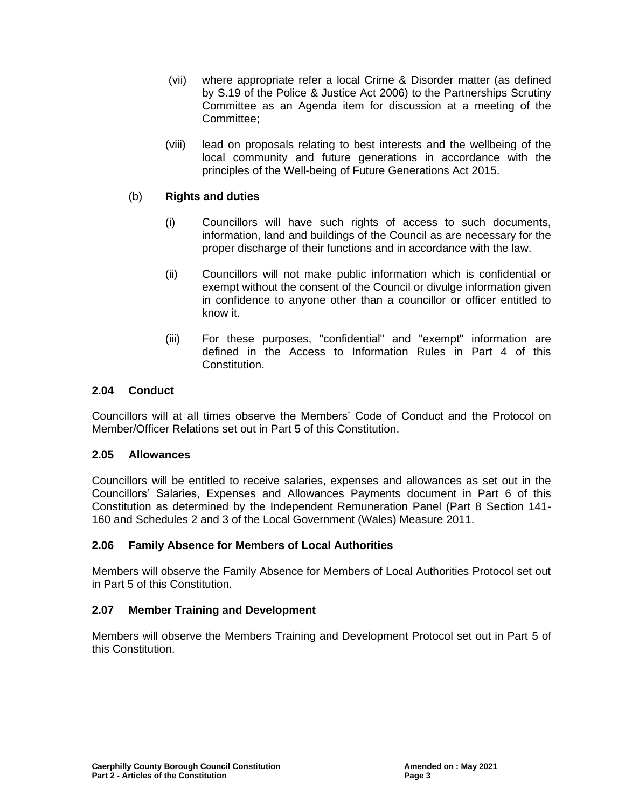- (vii) where appropriate refer a local Crime & Disorder matter (as defined by S.19 of the Police & Justice Act 2006) to the Partnerships Scrutiny Committee as an Agenda item for discussion at a meeting of the Committee;
- (viii) lead on proposals relating to best interests and the wellbeing of the local community and future generations in accordance with the principles of the Well-being of Future Generations Act 2015.

## (b) **Rights and duties**

- (i) Councillors will have such rights of access to such documents, information, land and buildings of the Council as are necessary for the proper discharge of their functions and in accordance with the law.
- (ii) Councillors will not make public information which is confidential or exempt without the consent of the Council or divulge information given in confidence to anyone other than a councillor or officer entitled to know it.
- (iii) For these purposes, "confidential" and "exempt" information are defined in the Access to Information Rules in Part 4 of this Constitution.

## **2.04 Conduct**

Councillors will at all times observe the Members' Code of Conduct and the Protocol on Member/Officer Relations set out in Part 5 of this Constitution.

## **2.05 Allowances**

Councillors will be entitled to receive salaries, expenses and allowances as set out in the Councillors' Salaries, Expenses and Allowances Payments document in Part 6 of this Constitution as determined by the Independent Remuneration Panel (Part 8 Section 141- 160 and Schedules 2 and 3 of the Local Government (Wales) Measure 2011.

## **2.06 Family Absence for Members of Local Authorities**

Members will observe the Family Absence for Members of Local Authorities Protocol set out in Part 5 of this Constitution.

## **2.07 Member Training and Development**

Members will observe the Members Training and Development Protocol set out in Part 5 of this Constitution.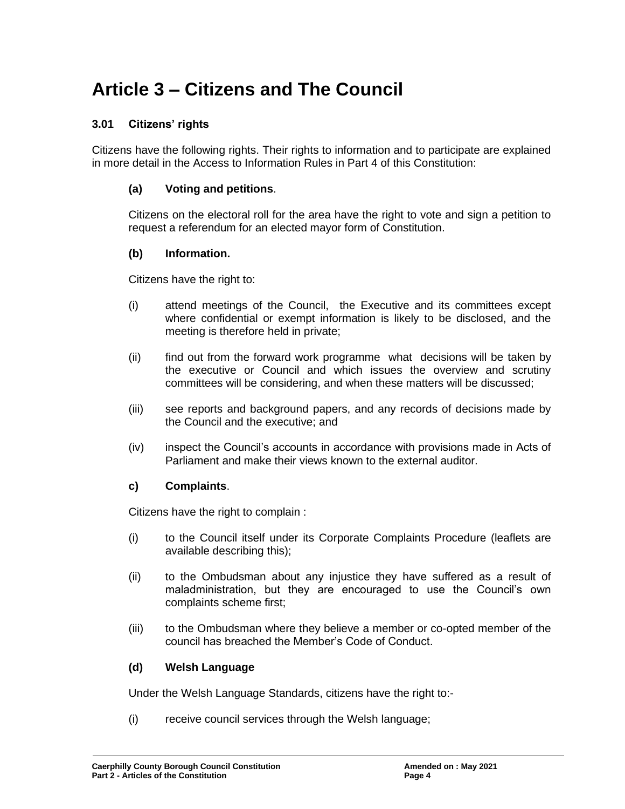# **Article 3 – Citizens and The Council**

## **3.01 Citizens' rights**

Citizens have the following rights. Their rights to information and to participate are explained in more detail in the Access to Information Rules in Part 4 of this Constitution:

## **(a) Voting and petitions**.

Citizens on the electoral roll for the area have the right to vote and sign a petition to request a referendum for an elected mayor form of Constitution.

#### **(b) Information.**

Citizens have the right to:

- (i) attend meetings of the Council, the Executive and its committees except where confidential or exempt information is likely to be disclosed, and the meeting is therefore held in private;
- (ii) find out from the forward work programme what decisions will be taken by the executive or Council and which issues the overview and scrutiny committees will be considering, and when these matters will be discussed;
- (iii) see reports and background papers, and any records of decisions made by the Council and the executive; and
- (iv) inspect the Council's accounts in accordance with provisions made in Acts of Parliament and make their views known to the external auditor.

#### **c) Complaints**.

Citizens have the right to complain :

- (i) to the Council itself under its Corporate Complaints Procedure (leaflets are available describing this);
- (ii) to the Ombudsman about any injustice they have suffered as a result of maladministration, but they are encouraged to use the Council's own complaints scheme first;
- (iii) to the Ombudsman where they believe a member or co-opted member of the council has breached the Member's Code of Conduct.

#### **(d) Welsh Language**

Under the Welsh Language Standards, citizens have the right to:-

(i) receive council services through the Welsh language;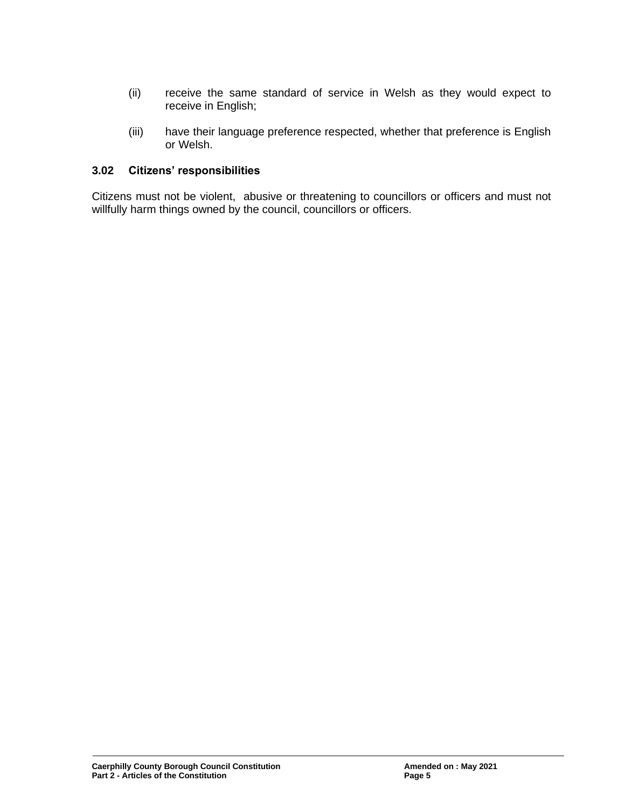- (ii) receive the same standard of service in Welsh as they would expect to receive in English;
- (iii) have their language preference respected, whether that preference is English or Welsh.

#### **3.02 Citizens' responsibilities**

Citizens must not be violent, abusive or threatening to councillors or officers and must not willfully harm things owned by the council, councillors or officers.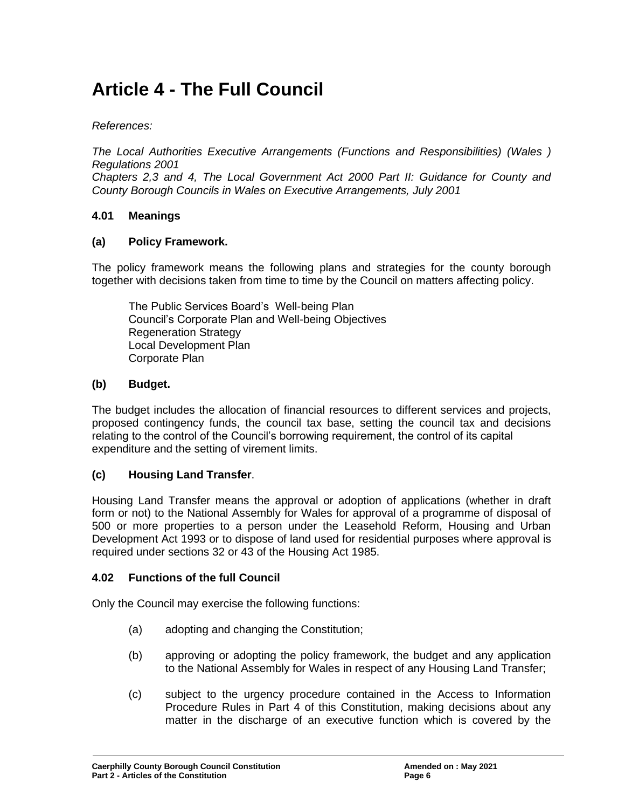# **Article 4 - The Full Council**

#### *References:*

*The Local Authorities Executive Arrangements (Functions and Responsibilities) (Wales ) Regulations 2001*

*Chapters 2,3 and 4, The Local Government Act 2000 Part II: Guidance for County and County Borough Councils in Wales on Executive Arrangements, July 2001*

#### **4.01 Meanings**

#### **(a) Policy Framework.**

The policy framework means the following plans and strategies for the county borough together with decisions taken from time to time by the Council on matters affecting policy.

The Public Services Board's Well-being Plan Council's Corporate Plan and Well-being Objectives Regeneration Strategy Local Development Plan Corporate Plan

#### **(b) Budget.**

The budget includes the allocation of financial resources to different services and projects, proposed contingency funds, the council tax base, setting the council tax and decisions relating to the control of the Council's borrowing requirement, the control of its capital expenditure and the setting of virement limits.

#### **(c) Housing Land Transfer**.

Housing Land Transfer means the approval or adoption of applications (whether in draft form or not) to the National Assembly for Wales for approval of a programme of disposal of 500 or more properties to a person under the Leasehold Reform, Housing and Urban Development Act 1993 or to dispose of land used for residential purposes where approval is required under sections 32 or 43 of the Housing Act 1985.

#### **4.02 Functions of the full Council**

Only the Council may exercise the following functions:

- (a) adopting and changing the Constitution;
- (b) approving or adopting the policy framework, the budget and any application to the National Assembly for Wales in respect of any Housing Land Transfer;
- (c) subject to the urgency procedure contained in the Access to Information Procedure Rules in Part 4 of this Constitution, making decisions about any matter in the discharge of an executive function which is covered by the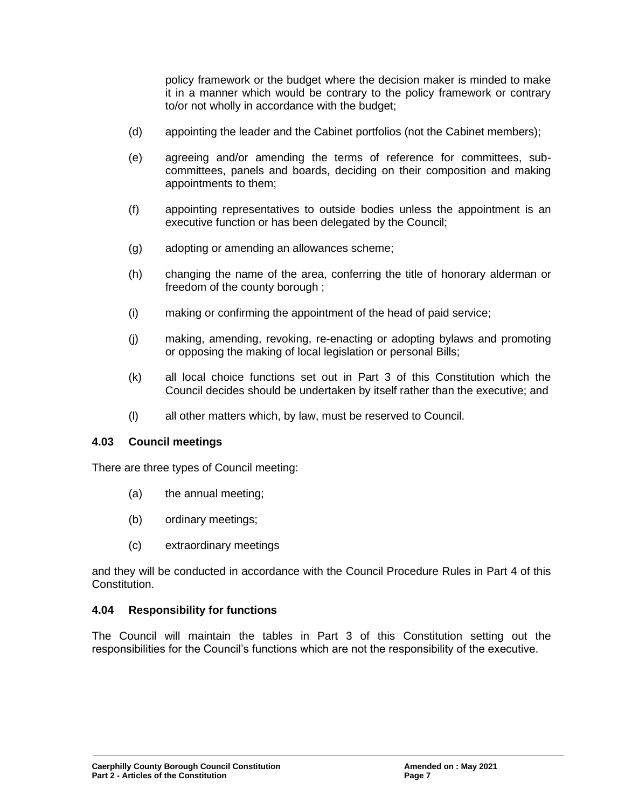policy framework or the budget where the decision maker is minded to make it in a manner which would be contrary to the policy framework or contrary to/or not wholly in accordance with the budget;

- (d) appointing the leader and the Cabinet portfolios (not the Cabinet members);
- (e) agreeing and/or amending the terms of reference for committees, subcommittees, panels and boards, deciding on their composition and making appointments to them;
- (f) appointing representatives to outside bodies unless the appointment is an executive function or has been delegated by the Council;
- (g) adopting or amending an allowances scheme;
- (h) changing the name of the area, conferring the title of honorary alderman or freedom of the county borough ;
- (i) making or confirming the appointment of the head of paid service;
- (j) making, amending, revoking, re-enacting or adopting bylaws and promoting or opposing the making of local legislation or personal Bills;
- (k) all local choice functions set out in Part 3 of this Constitution which the Council decides should be undertaken by itself rather than the executive; and
- (l) all other matters which, by law, must be reserved to Council.

#### **4.03 Council meetings**

There are three types of Council meeting:

- (a) the annual meeting;
- (b) ordinary meetings;
- (c) extraordinary meetings

and they will be conducted in accordance with the Council Procedure Rules in Part 4 of this Constitution.

#### **4.04 Responsibility for functions**

The Council will maintain the tables in Part 3 of this Constitution setting out the responsibilities for the Council's functions which are not the responsibility of the executive.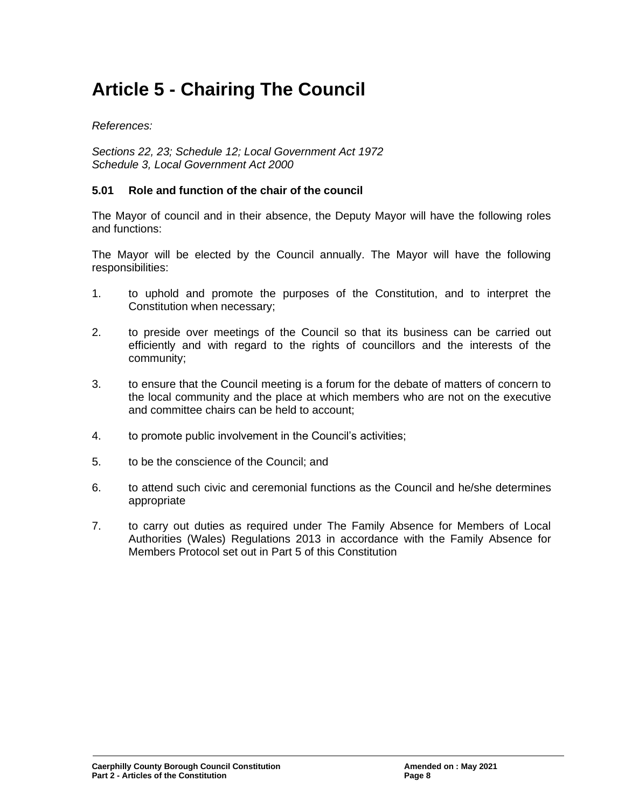# **Article 5 - Chairing The Council**

*References:*

*Sections 22, 23; Schedule 12; Local Government Act 1972 Schedule 3, Local Government Act 2000* 

### **5.01 Role and function of the chair of the council**

The Mayor of council and in their absence, the Deputy Mayor will have the following roles and functions:

The Mayor will be elected by the Council annually. The Mayor will have the following responsibilities:

- 1. to uphold and promote the purposes of the Constitution, and to interpret the Constitution when necessary;
- 2. to preside over meetings of the Council so that its business can be carried out efficiently and with regard to the rights of councillors and the interests of the community;
- 3. to ensure that the Council meeting is a forum for the debate of matters of concern to the local community and the place at which members who are not on the executive and committee chairs can be held to account;
- 4. to promote public involvement in the Council's activities;
- 5. to be the conscience of the Council; and
- 6. to attend such civic and ceremonial functions as the Council and he/she determines appropriate
- 7. to carry out duties as required under The Family Absence for Members of Local Authorities (Wales) Regulations 2013 in accordance with the Family Absence for Members Protocol set out in Part 5 of this Constitution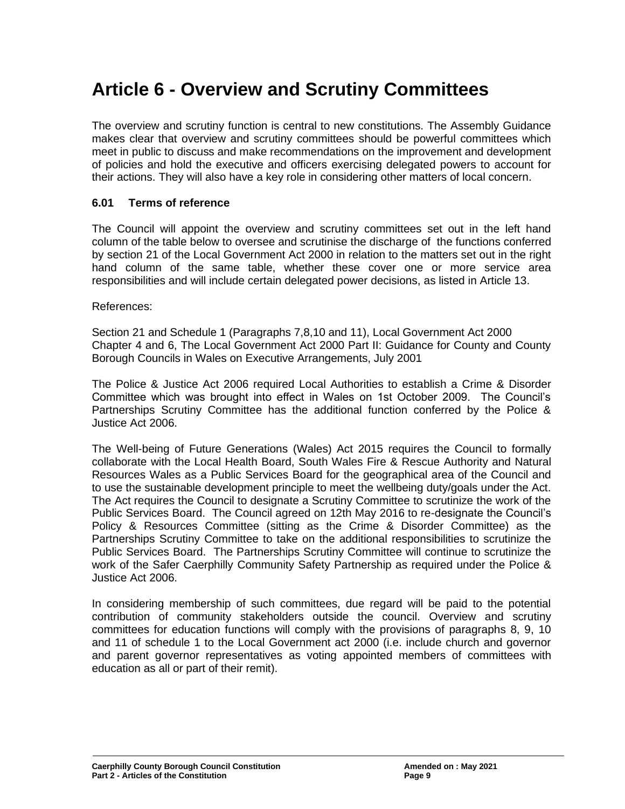# **Article 6 - Overview and Scrutiny Committees**

The overview and scrutiny function is central to new constitutions. The Assembly Guidance makes clear that overview and scrutiny committees should be powerful committees which meet in public to discuss and make recommendations on the improvement and development of policies and hold the executive and officers exercising delegated powers to account for their actions. They will also have a key role in considering other matters of local concern.

### **6.01 Terms of reference**

The Council will appoint the overview and scrutiny committees set out in the left hand column of the table below to oversee and scrutinise the discharge of the functions conferred by section 21 of the Local Government Act 2000 in relation to the matters set out in the right hand column of the same table, whether these cover one or more service area responsibilities and will include certain delegated power decisions, as listed in Article 13.

References:

Section 21 and Schedule 1 (Paragraphs 7,8,10 and 11), Local Government Act 2000 Chapter 4 and 6, The Local Government Act 2000 Part II: Guidance for County and County Borough Councils in Wales on Executive Arrangements, July 2001

The Police & Justice Act 2006 required Local Authorities to establish a Crime & Disorder Committee which was brought into effect in Wales on 1st October 2009. The Council's Partnerships Scrutiny Committee has the additional function conferred by the Police & Justice Act 2006.

The Well-being of Future Generations (Wales) Act 2015 requires the Council to formally collaborate with the Local Health Board, South Wales Fire & Rescue Authority and Natural Resources Wales as a Public Services Board for the geographical area of the Council and to use the sustainable development principle to meet the wellbeing duty/goals under the Act. The Act requires the Council to designate a Scrutiny Committee to scrutinize the work of the Public Services Board. The Council agreed on 12th May 2016 to re-designate the Council's Policy & Resources Committee (sitting as the Crime & Disorder Committee) as the Partnerships Scrutiny Committee to take on the additional responsibilities to scrutinize the Public Services Board. The Partnerships Scrutiny Committee will continue to scrutinize the work of the Safer Caerphilly Community Safety Partnership as required under the Police & Justice Act 2006.

In considering membership of such committees, due regard will be paid to the potential contribution of community stakeholders outside the council. Overview and scrutiny committees for education functions will comply with the provisions of paragraphs 8, 9, 10 and 11 of schedule 1 to the Local Government act 2000 (i.e. include church and governor and parent governor representatives as voting appointed members of committees with education as all or part of their remit).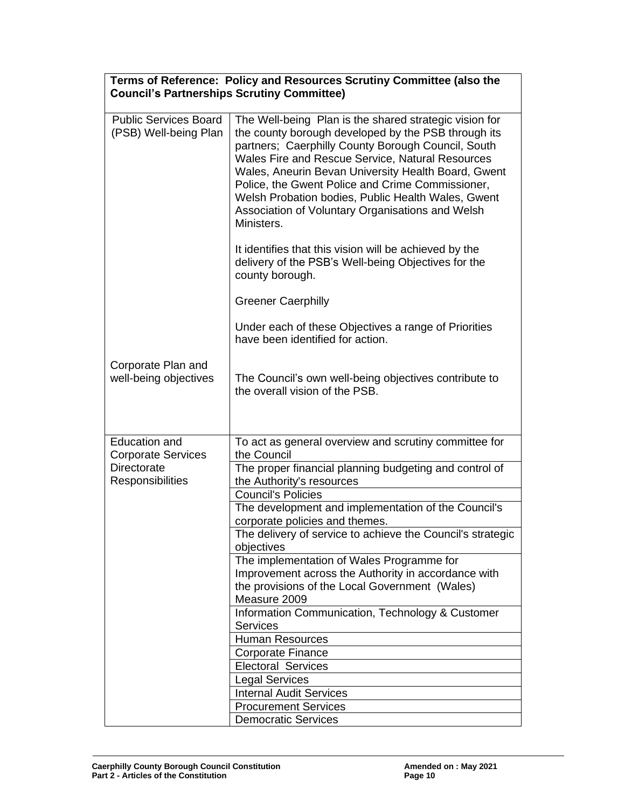| Terms of Reference: Policy and Resources Scrutiny Committee (also the<br><b>Council's Partnerships Scrutiny Committee)</b> |                                                                                                                                                                                                                                                                                                                                                                                                                                                            |  |
|----------------------------------------------------------------------------------------------------------------------------|------------------------------------------------------------------------------------------------------------------------------------------------------------------------------------------------------------------------------------------------------------------------------------------------------------------------------------------------------------------------------------------------------------------------------------------------------------|--|
| <b>Public Services Board</b><br>(PSB) Well-being Plan                                                                      | The Well-being Plan is the shared strategic vision for<br>the county borough developed by the PSB through its<br>partners; Caerphilly County Borough Council, South<br>Wales Fire and Rescue Service, Natural Resources<br>Wales, Aneurin Bevan University Health Board, Gwent<br>Police, the Gwent Police and Crime Commissioner,<br>Welsh Probation bodies, Public Health Wales, Gwent<br>Association of Voluntary Organisations and Welsh<br>Ministers. |  |
|                                                                                                                            | It identifies that this vision will be achieved by the<br>delivery of the PSB's Well-being Objectives for the<br>county borough.                                                                                                                                                                                                                                                                                                                           |  |
|                                                                                                                            | <b>Greener Caerphilly</b>                                                                                                                                                                                                                                                                                                                                                                                                                                  |  |
|                                                                                                                            | Under each of these Objectives a range of Priorities<br>have been identified for action.                                                                                                                                                                                                                                                                                                                                                                   |  |
| Corporate Plan and<br>well-being objectives                                                                                | The Council's own well-being objectives contribute to<br>the overall vision of the PSB.                                                                                                                                                                                                                                                                                                                                                                    |  |
| <b>Education and</b><br><b>Corporate Services</b>                                                                          | To act as general overview and scrutiny committee for<br>the Council                                                                                                                                                                                                                                                                                                                                                                                       |  |
| <b>Directorate</b><br>Responsibilities                                                                                     | The proper financial planning budgeting and control of<br>the Authority's resources                                                                                                                                                                                                                                                                                                                                                                        |  |
|                                                                                                                            | <b>Council's Policies</b>                                                                                                                                                                                                                                                                                                                                                                                                                                  |  |
|                                                                                                                            | The development and implementation of the Council's<br>corporate policies and themes.                                                                                                                                                                                                                                                                                                                                                                      |  |
|                                                                                                                            | The delivery of service to achieve the Council's strategic<br>objectives                                                                                                                                                                                                                                                                                                                                                                                   |  |
|                                                                                                                            | The implementation of Wales Programme for<br>Improvement across the Authority in accordance with<br>the provisions of the Local Government (Wales)<br>Measure 2009                                                                                                                                                                                                                                                                                         |  |
|                                                                                                                            | Information Communication, Technology & Customer<br><b>Services</b>                                                                                                                                                                                                                                                                                                                                                                                        |  |
|                                                                                                                            | <b>Human Resources</b>                                                                                                                                                                                                                                                                                                                                                                                                                                     |  |
|                                                                                                                            | Corporate Finance                                                                                                                                                                                                                                                                                                                                                                                                                                          |  |
|                                                                                                                            | <b>Electoral Services</b>                                                                                                                                                                                                                                                                                                                                                                                                                                  |  |
|                                                                                                                            | <b>Legal Services</b>                                                                                                                                                                                                                                                                                                                                                                                                                                      |  |
|                                                                                                                            | <b>Internal Audit Services</b>                                                                                                                                                                                                                                                                                                                                                                                                                             |  |
|                                                                                                                            | <b>Procurement Services</b>                                                                                                                                                                                                                                                                                                                                                                                                                                |  |

Democratic Services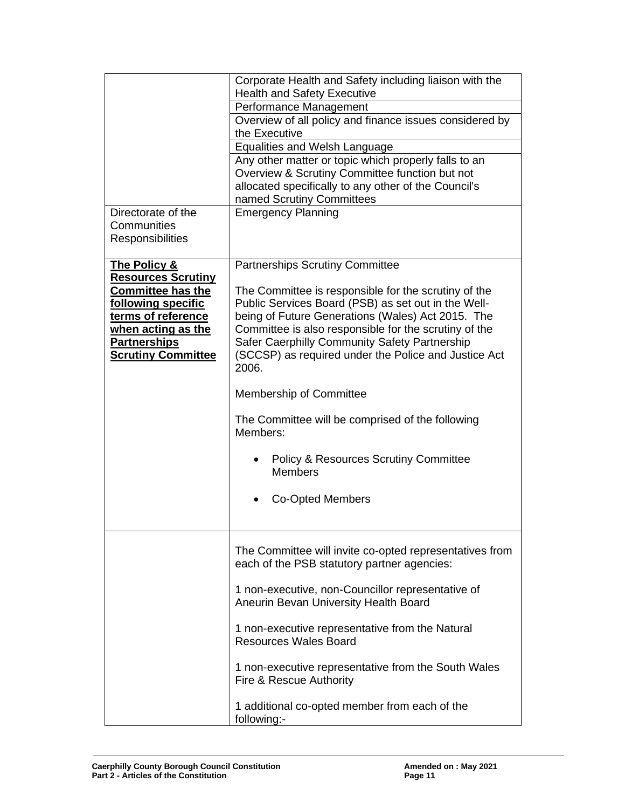|                                                                                                                                                                             | Corporate Health and Safety including liaison with the<br><b>Health and Safety Executive</b>                                                                                                                                                                                                                                                |  |  |
|-----------------------------------------------------------------------------------------------------------------------------------------------------------------------------|---------------------------------------------------------------------------------------------------------------------------------------------------------------------------------------------------------------------------------------------------------------------------------------------------------------------------------------------|--|--|
|                                                                                                                                                                             | Performance Management                                                                                                                                                                                                                                                                                                                      |  |  |
|                                                                                                                                                                             | Overview of all policy and finance issues considered by                                                                                                                                                                                                                                                                                     |  |  |
|                                                                                                                                                                             | the Executive                                                                                                                                                                                                                                                                                                                               |  |  |
|                                                                                                                                                                             | <b>Equalities and Welsh Language</b>                                                                                                                                                                                                                                                                                                        |  |  |
|                                                                                                                                                                             | Any other matter or topic which properly falls to an<br>Overview & Scrutiny Committee function but not                                                                                                                                                                                                                                      |  |  |
|                                                                                                                                                                             | allocated specifically to any other of the Council's<br>named Scrutiny Committees                                                                                                                                                                                                                                                           |  |  |
| Directorate of the                                                                                                                                                          | <b>Emergency Planning</b>                                                                                                                                                                                                                                                                                                                   |  |  |
| Communities<br><b>Responsibilities</b>                                                                                                                                      |                                                                                                                                                                                                                                                                                                                                             |  |  |
| <b>The Policy &amp;</b>                                                                                                                                                     | <b>Partnerships Scrutiny Committee</b>                                                                                                                                                                                                                                                                                                      |  |  |
| <b>Resources Scrutiny</b><br><b>Committee has the</b><br>following specific<br>terms of reference<br>when acting as the<br><b>Partnerships</b><br><b>Scrutiny Committee</b> | The Committee is responsible for the scrutiny of the<br>Public Services Board (PSB) as set out in the Well-<br>being of Future Generations (Wales) Act 2015. The<br>Committee is also responsible for the scrutiny of the<br>Safer Caerphilly Community Safety Partnership<br>(SCCSP) as required under the Police and Justice Act<br>2006. |  |  |
|                                                                                                                                                                             | <b>Membership of Committee</b>                                                                                                                                                                                                                                                                                                              |  |  |
|                                                                                                                                                                             | The Committee will be comprised of the following<br>Members:                                                                                                                                                                                                                                                                                |  |  |
|                                                                                                                                                                             | <b>Policy &amp; Resources Scrutiny Committee</b><br><b>Members</b>                                                                                                                                                                                                                                                                          |  |  |
|                                                                                                                                                                             | <b>Co-Opted Members</b>                                                                                                                                                                                                                                                                                                                     |  |  |
|                                                                                                                                                                             |                                                                                                                                                                                                                                                                                                                                             |  |  |
|                                                                                                                                                                             | The Committee will invite co-opted representatives from<br>each of the PSB statutory partner agencies:                                                                                                                                                                                                                                      |  |  |
|                                                                                                                                                                             | 1 non-executive, non-Councillor representative of<br>Aneurin Bevan University Health Board                                                                                                                                                                                                                                                  |  |  |
|                                                                                                                                                                             | 1 non-executive representative from the Natural<br><b>Resources Wales Board</b>                                                                                                                                                                                                                                                             |  |  |
|                                                                                                                                                                             | 1 non-executive representative from the South Wales<br>Fire & Rescue Authority                                                                                                                                                                                                                                                              |  |  |
|                                                                                                                                                                             | 1 additional co-opted member from each of the<br>following:-                                                                                                                                                                                                                                                                                |  |  |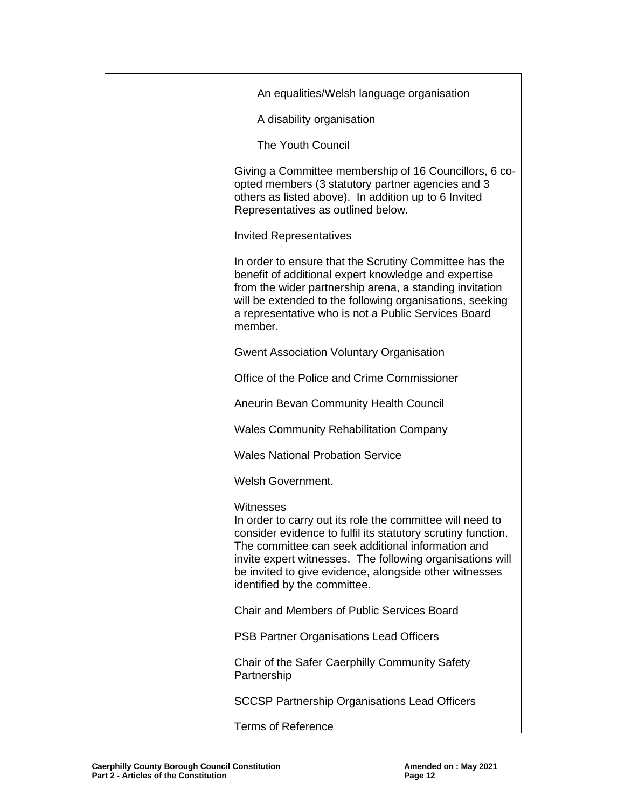| An equalities/Welsh language organisation                                                                                                                                                                                                                                                                                                          |
|----------------------------------------------------------------------------------------------------------------------------------------------------------------------------------------------------------------------------------------------------------------------------------------------------------------------------------------------------|
| A disability organisation                                                                                                                                                                                                                                                                                                                          |
| <b>The Youth Council</b>                                                                                                                                                                                                                                                                                                                           |
| Giving a Committee membership of 16 Councillors, 6 co-<br>opted members (3 statutory partner agencies and 3<br>others as listed above). In addition up to 6 Invited<br>Representatives as outlined below.                                                                                                                                          |
| <b>Invited Representatives</b>                                                                                                                                                                                                                                                                                                                     |
| In order to ensure that the Scrutiny Committee has the<br>benefit of additional expert knowledge and expertise<br>from the wider partnership arena, a standing invitation<br>will be extended to the following organisations, seeking<br>a representative who is not a Public Services Board<br>member.                                            |
| <b>Gwent Association Voluntary Organisation</b>                                                                                                                                                                                                                                                                                                    |
| Office of the Police and Crime Commissioner                                                                                                                                                                                                                                                                                                        |
| Aneurin Bevan Community Health Council                                                                                                                                                                                                                                                                                                             |
| <b>Wales Community Rehabilitation Company</b>                                                                                                                                                                                                                                                                                                      |
| <b>Wales National Probation Service</b>                                                                                                                                                                                                                                                                                                            |
| Welsh Government.                                                                                                                                                                                                                                                                                                                                  |
| Witnesses<br>In order to carry out its role the committee will need to<br>consider evidence to fulfil its statutory scrutiny function.<br>The committee can seek additional information and<br>invite expert witnesses. The following organisations will<br>be invited to give evidence, alongside other witnesses<br>identified by the committee. |
| <b>Chair and Members of Public Services Board</b>                                                                                                                                                                                                                                                                                                  |
| PSB Partner Organisations Lead Officers                                                                                                                                                                                                                                                                                                            |
| Chair of the Safer Caerphilly Community Safety<br>Partnership                                                                                                                                                                                                                                                                                      |
| <b>SCCSP Partnership Organisations Lead Officers</b>                                                                                                                                                                                                                                                                                               |
| <b>Terms of Reference</b>                                                                                                                                                                                                                                                                                                                          |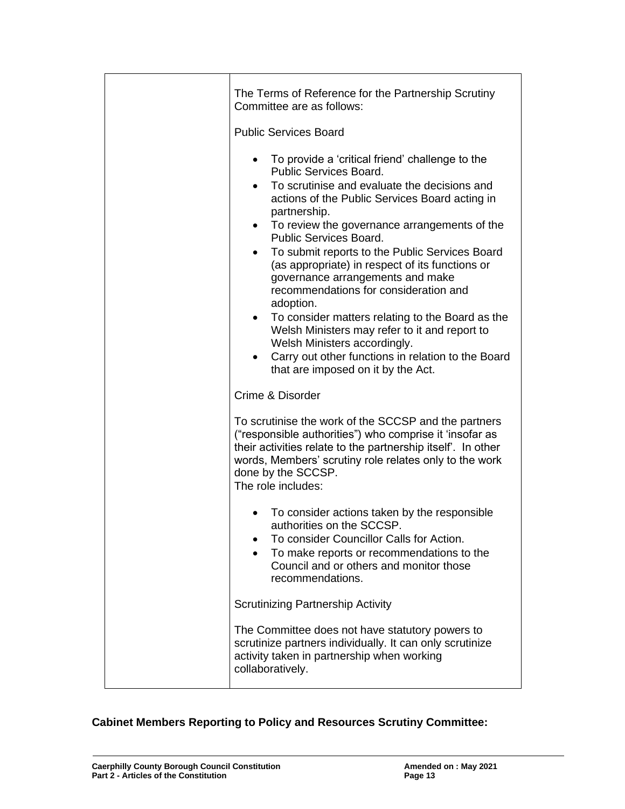| The Terms of Reference for the Partnership Scrutiny<br>Committee are as follows:<br><b>Public Services Board</b>                                                                                                                                                                                                                                                                                                                                                                                                                                                                                                                                                                                                                                               |
|----------------------------------------------------------------------------------------------------------------------------------------------------------------------------------------------------------------------------------------------------------------------------------------------------------------------------------------------------------------------------------------------------------------------------------------------------------------------------------------------------------------------------------------------------------------------------------------------------------------------------------------------------------------------------------------------------------------------------------------------------------------|
| To provide a 'critical friend' challenge to the<br>$\bullet$<br>Public Services Board.<br>To scrutinise and evaluate the decisions and<br>$\bullet$<br>actions of the Public Services Board acting in<br>partnership.<br>To review the governance arrangements of the<br>$\bullet$<br>Public Services Board.<br>To submit reports to the Public Services Board<br>٠<br>(as appropriate) in respect of its functions or<br>governance arrangements and make<br>recommendations for consideration and<br>adoption.<br>To consider matters relating to the Board as the<br>$\bullet$<br>Welsh Ministers may refer to it and report to<br>Welsh Ministers accordingly.<br>Carry out other functions in relation to the Board<br>that are imposed on it by the Act. |
| Crime & Disorder                                                                                                                                                                                                                                                                                                                                                                                                                                                                                                                                                                                                                                                                                                                                               |
| To scrutinise the work of the SCCSP and the partners<br>("responsible authorities") who comprise it 'insofar as<br>their activities relate to the partnership itself'. In other<br>words, Members' scrutiny role relates only to the work<br>done by the SCCSP.<br>The role includes:                                                                                                                                                                                                                                                                                                                                                                                                                                                                          |
| To consider actions taken by the responsible<br>authorities on the SCCSP.<br>To consider Councillor Calls for Action.<br>To make reports or recommendations to the<br>Council and or others and monitor those<br>recommendations.                                                                                                                                                                                                                                                                                                                                                                                                                                                                                                                              |
| <b>Scrutinizing Partnership Activity</b>                                                                                                                                                                                                                                                                                                                                                                                                                                                                                                                                                                                                                                                                                                                       |
| The Committee does not have statutory powers to<br>scrutinize partners individually. It can only scrutinize<br>activity taken in partnership when working<br>collaboratively.                                                                                                                                                                                                                                                                                                                                                                                                                                                                                                                                                                                  |

## **Cabinet Members Reporting to Policy and Resources Scrutiny Committee:**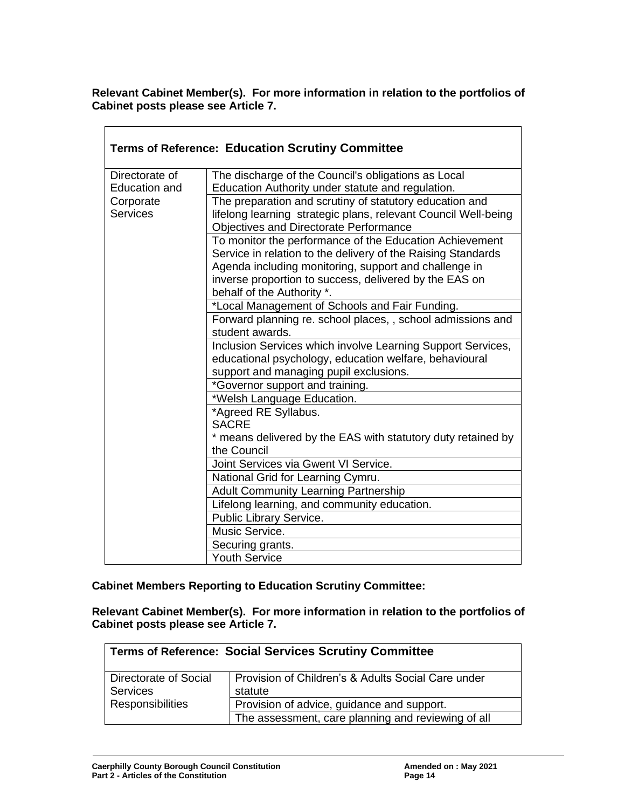**Relevant Cabinet Member(s). For more information in relation to the portfolios of Cabinet posts please see Article 7.**

| <b>Terms of Reference: Education Scrutiny Committee</b> |                                                                                                                           |  |
|---------------------------------------------------------|---------------------------------------------------------------------------------------------------------------------------|--|
| Directorate of                                          | The discharge of the Council's obligations as Local                                                                       |  |
| <b>Education and</b>                                    | Education Authority under statute and regulation.                                                                         |  |
| Corporate<br><b>Services</b>                            | The preparation and scrutiny of statutory education and<br>lifelong learning strategic plans, relevant Council Well-being |  |
|                                                         | <b>Objectives and Directorate Performance</b>                                                                             |  |
|                                                         | To monitor the performance of the Education Achievement                                                                   |  |
|                                                         | Service in relation to the delivery of the Raising Standards                                                              |  |
|                                                         | Agenda including monitoring, support and challenge in                                                                     |  |
|                                                         | inverse proportion to success, delivered by the EAS on<br>behalf of the Authority *.                                      |  |
|                                                         | *Local Management of Schools and Fair Funding.                                                                            |  |
|                                                         | Forward planning re. school places, , school admissions and                                                               |  |
|                                                         | student awards.                                                                                                           |  |
|                                                         | Inclusion Services which involve Learning Support Services,                                                               |  |
|                                                         | educational psychology, education welfare, behavioural                                                                    |  |
|                                                         | support and managing pupil exclusions.                                                                                    |  |
|                                                         | *Governor support and training.                                                                                           |  |
|                                                         | *Welsh Language Education.                                                                                                |  |
|                                                         | *Agreed RE Syllabus.                                                                                                      |  |
|                                                         | <b>SACRE</b>                                                                                                              |  |
|                                                         | * means delivered by the EAS with statutory duty retained by                                                              |  |
|                                                         | the Council                                                                                                               |  |
|                                                         | Joint Services via Gwent VI Service.                                                                                      |  |
|                                                         | National Grid for Learning Cymru.                                                                                         |  |
|                                                         | Adult Community Learning Partnership                                                                                      |  |
|                                                         | Lifelong learning, and community education.                                                                               |  |
|                                                         | Public Library Service.<br>Music Service.                                                                                 |  |
|                                                         |                                                                                                                           |  |
|                                                         | Securing grants.<br><b>Youth Service</b>                                                                                  |  |
|                                                         |                                                                                                                           |  |

**Cabinet Members Reporting to Education Scrutiny Committee:**

**Relevant Cabinet Member(s). For more information in relation to the portfolios of Cabinet posts please see Article 7.**

| <b>Terms of Reference: Social Services Scrutiny Committee</b> |                                                               |
|---------------------------------------------------------------|---------------------------------------------------------------|
| Directorate of Social<br><b>Services</b>                      | Provision of Children's & Adults Social Care under<br>statute |
| <b>Responsibilities</b>                                       | Provision of advice, guidance and support.                    |
|                                                               | The assessment, care planning and reviewing of all            |

 $\overline{\Gamma}$ 

 $\overline{\phantom{a}}$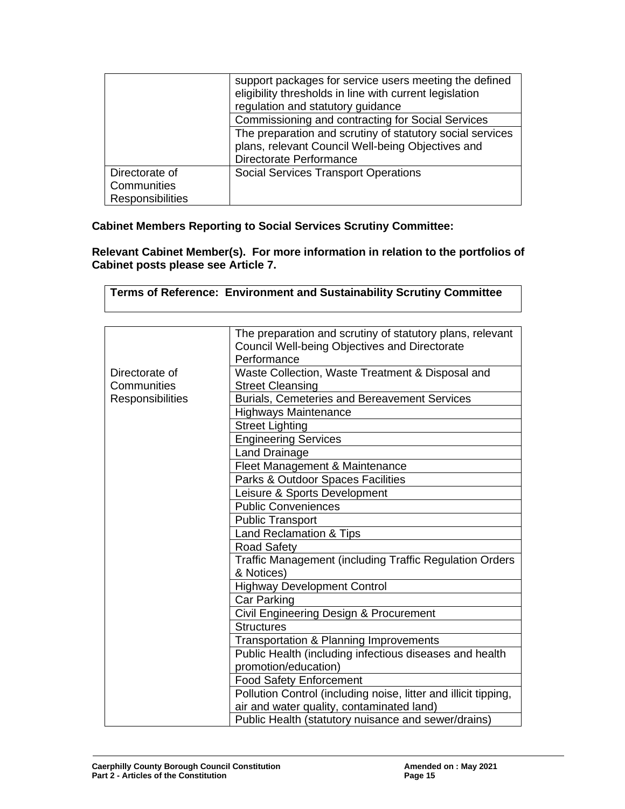|                         | support packages for service users meeting the defined<br>eligibility thresholds in line with current legislation<br>regulation and statutory guidance |  |
|-------------------------|--------------------------------------------------------------------------------------------------------------------------------------------------------|--|
|                         | Commissioning and contracting for Social Services                                                                                                      |  |
|                         | The preparation and scrutiny of statutory social services                                                                                              |  |
|                         | plans, relevant Council Well-being Objectives and                                                                                                      |  |
|                         | Directorate Performance                                                                                                                                |  |
| Directorate of          | <b>Social Services Transport Operations</b>                                                                                                            |  |
| Communities             |                                                                                                                                                        |  |
| <b>Responsibilities</b> |                                                                                                                                                        |  |

## **Cabinet Members Reporting to Social Services Scrutiny Committee:**

**Relevant Cabinet Member(s). For more information in relation to the portfolios of Cabinet posts please see Article 7.**

| <b>Terms of Reference: Environment and Sustainability Scrutiny Committee</b> |                                                                 |
|------------------------------------------------------------------------------|-----------------------------------------------------------------|
|                                                                              |                                                                 |
|                                                                              | The preparation and scrutiny of statutory plans, relevant       |
|                                                                              | Council Well-being Objectives and Directorate                   |
|                                                                              | Performance                                                     |
| Directorate of                                                               | Waste Collection, Waste Treatment & Disposal and                |
| Communities                                                                  | <b>Street Cleansing</b>                                         |
| Responsibilities                                                             | <b>Burials. Cemeteries and Bereavement Services</b>             |
|                                                                              | <b>Highways Maintenance</b>                                     |
|                                                                              | <b>Street Lighting</b>                                          |
|                                                                              | <b>Engineering Services</b>                                     |
|                                                                              | <b>Land Drainage</b>                                            |
|                                                                              | Fleet Management & Maintenance                                  |
|                                                                              | Parks & Outdoor Spaces Facilities                               |
|                                                                              | Leisure & Sports Development                                    |
|                                                                              | <b>Public Conveniences</b>                                      |
|                                                                              | <b>Public Transport</b>                                         |
|                                                                              | <b>Land Reclamation &amp; Tips</b>                              |
|                                                                              | <b>Road Safety</b>                                              |
|                                                                              | <b>Traffic Management (including Traffic Regulation Orders</b>  |
|                                                                              | & Notices)                                                      |
|                                                                              | <b>Highway Development Control</b>                              |
|                                                                              | <b>Car Parking</b>                                              |
|                                                                              | Civil Engineering Design & Procurement                          |
|                                                                              | <b>Structures</b>                                               |
|                                                                              | Transportation & Planning Improvements                          |
|                                                                              | Public Health (including infectious diseases and health         |
|                                                                              | promotion/education)                                            |
|                                                                              | <b>Food Safety Enforcement</b>                                  |
|                                                                              | Pollution Control (including noise, litter and illicit tipping, |
|                                                                              | air and water quality, contaminated land)                       |
|                                                                              | Public Health (statutory nuisance and sewer/drains)             |

┑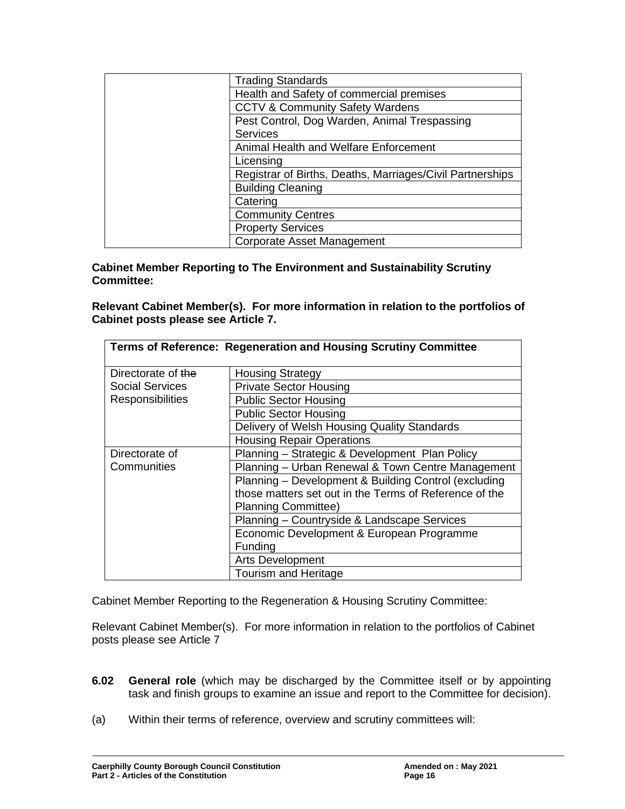| <b>Trading Standards</b>                                  |
|-----------------------------------------------------------|
| Health and Safety of commercial premises                  |
| <b>CCTV &amp; Community Safety Wardens</b>                |
| Pest Control, Dog Warden, Animal Trespassing              |
| Services                                                  |
| Animal Health and Welfare Enforcement                     |
| Licensing                                                 |
| Registrar of Births, Deaths, Marriages/Civil Partnerships |
| <b>Building Cleaning</b>                                  |
| Catering                                                  |
| <b>Community Centres</b>                                  |
| <b>Property Services</b>                                  |
| <b>Corporate Asset Management</b>                         |

**Cabinet Member Reporting to The Environment and Sustainability Scrutiny Committee:**

**Relevant Cabinet Member(s). For more information in relation to the portfolios of Cabinet posts please see Article 7.**

|                         | Terms of Reference: Regeneration and Housing Scrutiny Committee |  |
|-------------------------|-----------------------------------------------------------------|--|
| Directorate of the      | <b>Housing Strategy</b>                                         |  |
| <b>Social Services</b>  | <b>Private Sector Housing</b>                                   |  |
| <b>Responsibilities</b> | <b>Public Sector Housing</b>                                    |  |
|                         | <b>Public Sector Housing</b>                                    |  |
|                         | Delivery of Welsh Housing Quality Standards                     |  |
|                         | <b>Housing Repair Operations</b>                                |  |
| Directorate of          | Planning - Strategic & Development Plan Policy                  |  |
| Communities             | Planning - Urban Renewal & Town Centre Management               |  |
|                         | Planning - Development & Building Control (excluding            |  |
|                         | those matters set out in the Terms of Reference of the          |  |
|                         | <b>Planning Committee)</b>                                      |  |
|                         | Planning - Countryside & Landscape Services                     |  |
|                         | Economic Development & European Programme                       |  |
|                         | Funding                                                         |  |
|                         | Arts Development                                                |  |
|                         | <b>Tourism and Heritage</b>                                     |  |

Cabinet Member Reporting to the Regeneration & Housing Scrutiny Committee:

Relevant Cabinet Member(s). For more information in relation to the portfolios of Cabinet posts please see Article 7

- **6.02 General role** (which may be discharged by the Committee itself or by appointing task and finish groups to examine an issue and report to the Committee for decision).
- (a) Within their terms of reference, overview and scrutiny committees will: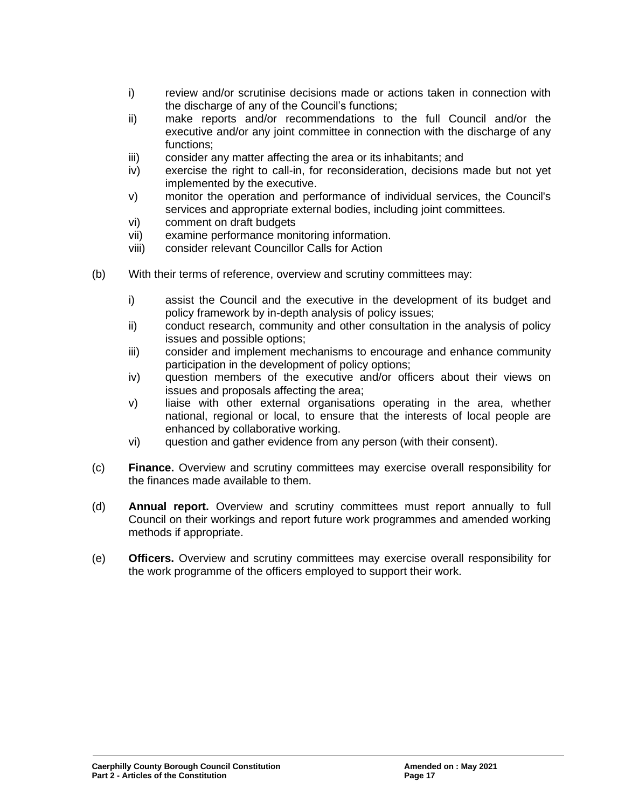- i) review and/or scrutinise decisions made or actions taken in connection with the discharge of any of the Council's functions;
- ii) make reports and/or recommendations to the full Council and/or the executive and/or any joint committee in connection with the discharge of any functions;
- iii) consider any matter affecting the area or its inhabitants; and
- iv) exercise the right to call-in, for reconsideration, decisions made but not yet implemented by the executive.
- v) monitor the operation and performance of individual services, the Council's services and appropriate external bodies, including joint committees.
- vi) comment on draft budgets
- vii) examine performance monitoring information.
- viii) consider relevant Councillor Calls for Action
- (b) With their terms of reference, overview and scrutiny committees may:
	- i) assist the Council and the executive in the development of its budget and policy framework by in-depth analysis of policy issues;
	- ii) conduct research, community and other consultation in the analysis of policy issues and possible options;
	- iii) consider and implement mechanisms to encourage and enhance community participation in the development of policy options;
	- iv) question members of the executive and/or officers about their views on issues and proposals affecting the area;
	- v) liaise with other external organisations operating in the area, whether national, regional or local, to ensure that the interests of local people are enhanced by collaborative working.
	- vi) question and gather evidence from any person (with their consent).
- (c) **Finance.** Overview and scrutiny committees may exercise overall responsibility for the finances made available to them.
- (d) **Annual report.** Overview and scrutiny committees must report annually to full Council on their workings and report future work programmes and amended working methods if appropriate.
- (e) **Officers.** Overview and scrutiny committees may exercise overall responsibility for the work programme of the officers employed to support their work.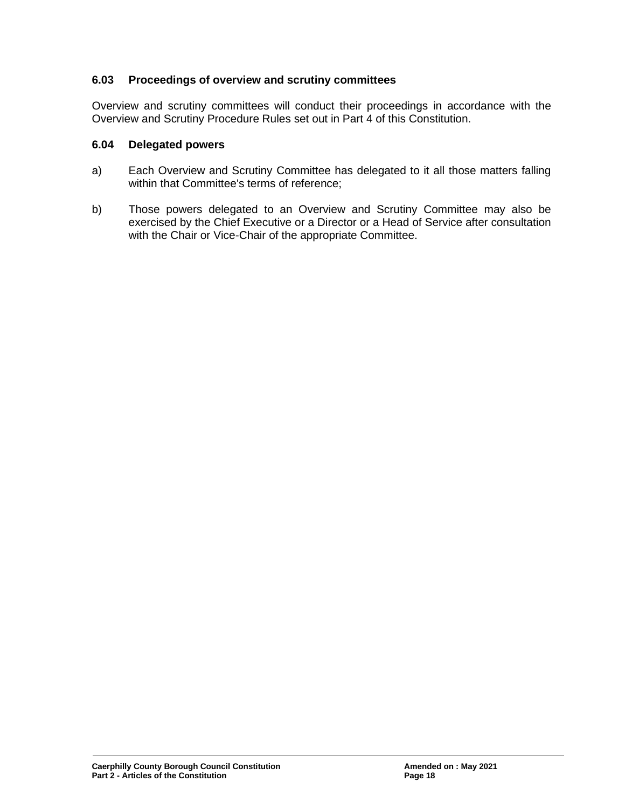### **6.03 Proceedings of overview and scrutiny committees**

Overview and scrutiny committees will conduct their proceedings in accordance with the Overview and Scrutiny Procedure Rules set out in Part 4 of this Constitution.

#### **6.04 Delegated powers**

- a) Each Overview and Scrutiny Committee has delegated to it all those matters falling within that Committee's terms of reference;
- b) Those powers delegated to an Overview and Scrutiny Committee may also be exercised by the Chief Executive or a Director or a Head of Service after consultation with the Chair or Vice-Chair of the appropriate Committee.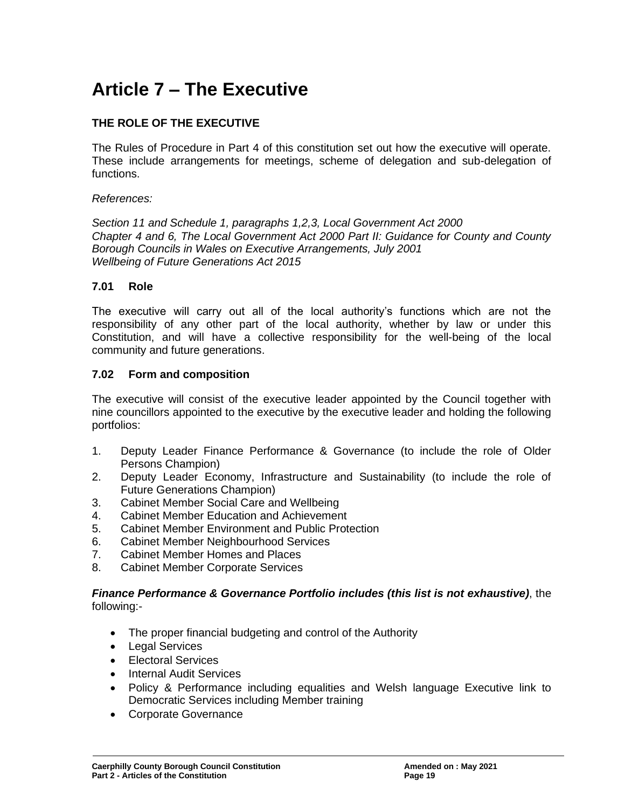# **Article 7 – The Executive**

## **THE ROLE OF THE EXECUTIVE**

The Rules of Procedure in Part 4 of this constitution set out how the executive will operate. These include arrangements for meetings, scheme of delegation and sub-delegation of functions.

#### *References:*

*Section 11 and Schedule 1, paragraphs 1,2,3, Local Government Act 2000 Chapter 4 and 6, The Local Government Act 2000 Part II: Guidance for County and County Borough Councils in Wales on Executive Arrangements, July 2001 Wellbeing of Future Generations Act 2015*

### **7.01 Role**

The executive will carry out all of the local authority's functions which are not the responsibility of any other part of the local authority, whether by law or under this Constitution, and will have a collective responsibility for the well-being of the local community and future generations.

#### **7.02 Form and composition**

The executive will consist of the executive leader appointed by the Council together with nine councillors appointed to the executive by the executive leader and holding the following portfolios:

- 1. Deputy Leader Finance Performance & Governance (to include the role of Older Persons Champion)
- 2. Deputy Leader Economy, Infrastructure and Sustainability (to include the role of Future Generations Champion)
- 3. Cabinet Member Social Care and Wellbeing
- 4. Cabinet Member Education and Achievement
- 5. Cabinet Member Environment and Public Protection
- 6. Cabinet Member Neighbourhood Services
- 7. Cabinet Member Homes and Places
- 8. Cabinet Member Corporate Services

#### *Finance Performance & Governance Portfolio includes (this list is not exhaustive)*, the following:-

- The proper financial budgeting and control of the Authority
- Legal Services
- Electoral Services
- Internal Audit Services
- Policy & Performance including equalities and Welsh language Executive link to Democratic Services including Member training
- Corporate Governance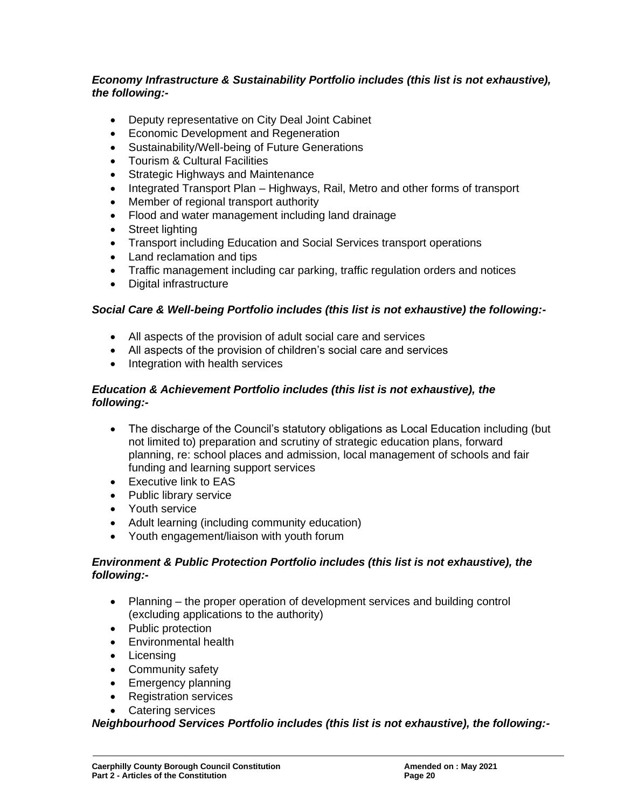## *Economy Infrastructure & Sustainability Portfolio includes (this list is not exhaustive), the following:-*

- Deputy representative on City Deal Joint Cabinet
- Economic Development and Regeneration
- Sustainability/Well*-*being of Future Generations
- Tourism & Cultural Facilities
- Strategic Highways and Maintenance
- Integrated Transport Plan Highways, Rail, Metro and other forms of transport
- Member of regional transport authority
- Flood and water management including land drainage
- Street lighting
- Transport including Education and Social Services transport operations
- Land reclamation and tips
- Traffic management including car parking, traffic regulation orders and notices
- Digital infrastructure

## *Social Care & Well-being Portfolio includes (this list is not exhaustive) the following:-*

- All aspects of the provision of adult social care and services
- All aspects of the provision of children's social care and services
- Integration with health services

## *Education & Achievement Portfolio includes (this list is not exhaustive), the following:-*

- The discharge of the Council's statutory obligations as Local Education including (but not limited to) preparation and scrutiny of strategic education plans, forward planning, re: school places and admission, local management of schools and fair funding and learning support services
- Executive link to EAS
- Public library service
- Youth service
- Adult learning (including community education)
- Youth engagement/liaison with youth forum

## *Environment & Public Protection Portfolio includes (this list is not exhaustive), the following:-*

- Planning the proper operation of development services and building control (excluding applications to the authority)
- Public protection
- Environmental health
- Licensing
- Community safety
- Emergency planning
- Registration services
- Catering services

*Neighbourhood Services Portfolio includes (this list is not exhaustive), the following:-*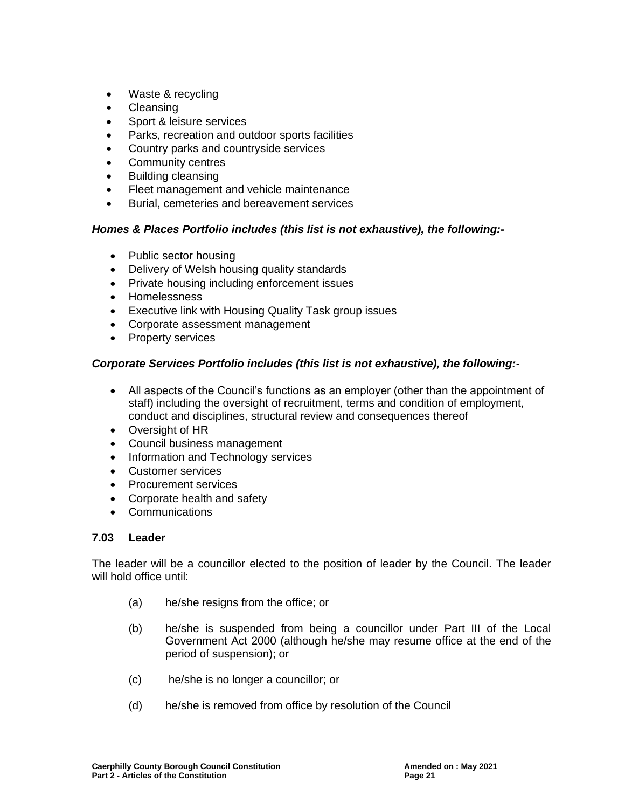- Waste & recycling
- **Cleansing**
- Sport & leisure services
- Parks, recreation and outdoor sports facilities
- Country parks and countryside services
- Community centres
- Building cleansing
- Fleet management and vehicle maintenance
- Burial, cemeteries and bereavement services

## *Homes & Places Portfolio includes (this list is not exhaustive), the following:-*

- Public sector housing
- Delivery of Welsh housing quality standards
- Private housing including enforcement issues
- Homelessness
- Executive link with Housing Quality Task group issues
- Corporate assessment management
- Property services

## *Corporate Services Portfolio includes (this list is not exhaustive), the following:-*

- All aspects of the Council's functions as an employer (other than the appointment of staff) including the oversight of recruitment, terms and condition of employment, conduct and disciplines, structural review and consequences thereof
- Oversight of HR
- Council business management
- Information and Technology services
- Customer services
- Procurement services
- Corporate health and safety
- Communications

## **7.03 Leader**

The leader will be a councillor elected to the position of leader by the Council. The leader will hold office until:

- (a) he/she resigns from the office; or
- (b) he/she is suspended from being a councillor under Part III of the Local Government Act 2000 (although he/she may resume office at the end of the period of suspension); or
- (c) he/she is no longer a councillor; or
- (d) he/she is removed from office by resolution of the Council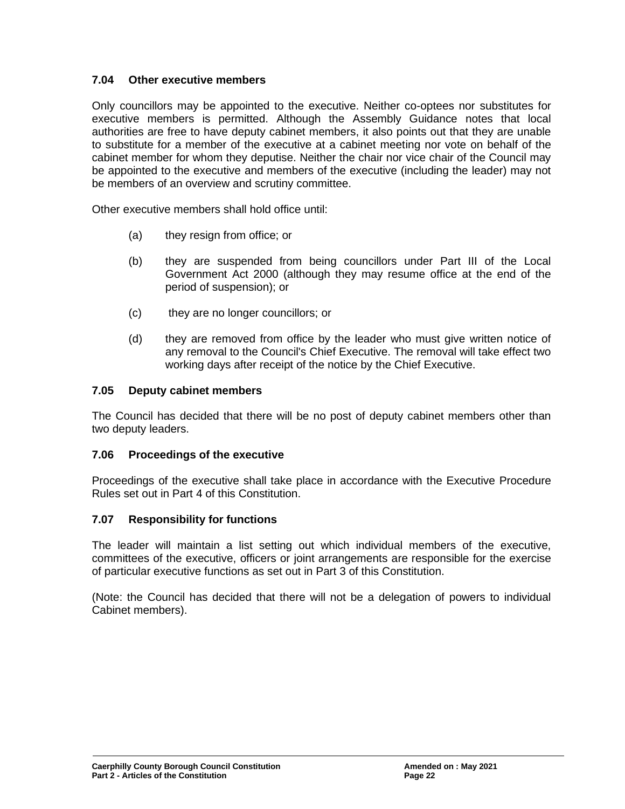## **7.04 Other executive members**

Only councillors may be appointed to the executive. Neither co-optees nor substitutes for executive members is permitted. Although the Assembly Guidance notes that local authorities are free to have deputy cabinet members, it also points out that they are unable to substitute for a member of the executive at a cabinet meeting nor vote on behalf of the cabinet member for whom they deputise. Neither the chair nor vice chair of the Council may be appointed to the executive and members of the executive (including the leader) may not be members of an overview and scrutiny committee.

Other executive members shall hold office until:

- (a) they resign from office; or
- (b) they are suspended from being councillors under Part III of the Local Government Act 2000 (although they may resume office at the end of the period of suspension); or
- (c) they are no longer councillors; or
- (d) they are removed from office by the leader who must give written notice of any removal to the Council's Chief Executive. The removal will take effect two working days after receipt of the notice by the Chief Executive.

#### **7.05 Deputy cabinet members**

The Council has decided that there will be no post of deputy cabinet members other than two deputy leaders.

#### **7.06 Proceedings of the executive**

Proceedings of the executive shall take place in accordance with the Executive Procedure Rules set out in Part 4 of this Constitution.

#### **7.07 Responsibility for functions**

The leader will maintain a list setting out which individual members of the executive, committees of the executive, officers or joint arrangements are responsible for the exercise of particular executive functions as set out in Part 3 of this Constitution.

(Note: the Council has decided that there will not be a delegation of powers to individual Cabinet members).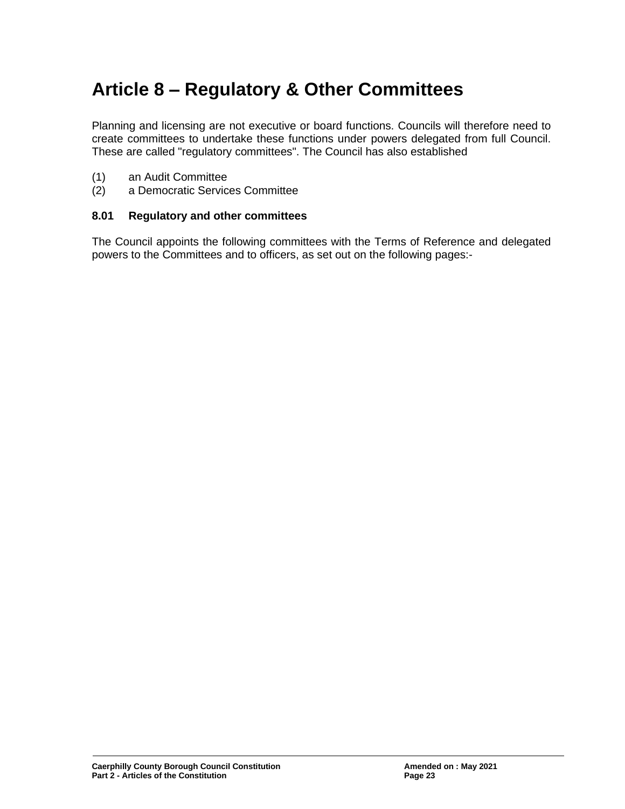# **Article 8 – Regulatory & Other Committees**

Planning and licensing are not executive or board functions. Councils will therefore need to create committees to undertake these functions under powers delegated from full Council. These are called "regulatory committees". The Council has also established

- (1) an Audit Committee
- (2) a Democratic Services Committee

#### **8.01 Regulatory and other committees**

The Council appoints the following committees with the Terms of Reference and delegated powers to the Committees and to officers, as set out on the following pages:-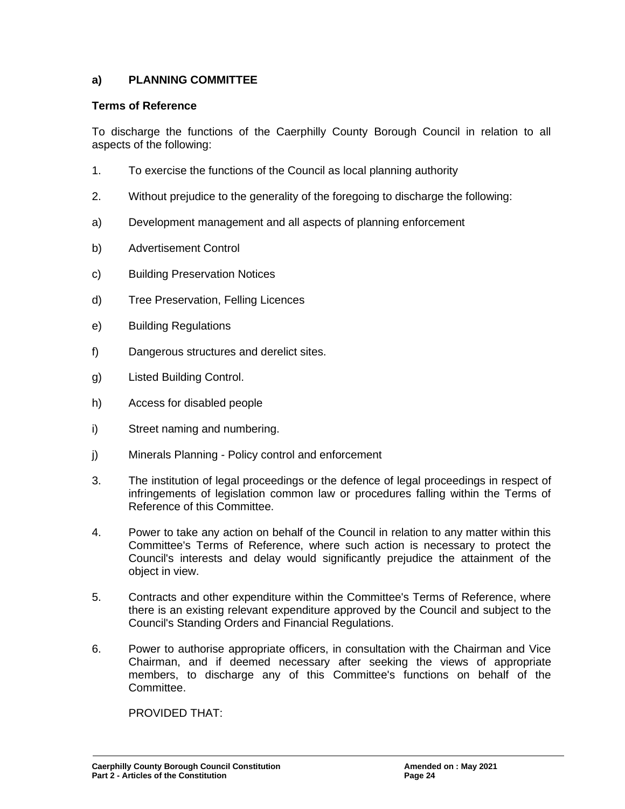## **a) PLANNING COMMITTEE**

### **Terms of Reference**

To discharge the functions of the Caerphilly County Borough Council in relation to all aspects of the following:

- 1. To exercise the functions of the Council as local planning authority
- 2. Without prejudice to the generality of the foregoing to discharge the following:
- a) Development management and all aspects of planning enforcement
- b) Advertisement Control
- c) Building Preservation Notices
- d) Tree Preservation, Felling Licences
- e) Building Regulations
- f) Dangerous structures and derelict sites.
- g) Listed Building Control.
- h) Access for disabled people
- i) Street naming and numbering.
- j) Minerals Planning Policy control and enforcement
- 3. The institution of legal proceedings or the defence of legal proceedings in respect of infringements of legislation common law or procedures falling within the Terms of Reference of this Committee.
- 4. Power to take any action on behalf of the Council in relation to any matter within this Committee's Terms of Reference, where such action is necessary to protect the Council's interests and delay would significantly prejudice the attainment of the object in view.
- 5. Contracts and other expenditure within the Committee's Terms of Reference, where there is an existing relevant expenditure approved by the Council and subject to the Council's Standing Orders and Financial Regulations.
- 6. Power to authorise appropriate officers, in consultation with the Chairman and Vice Chairman, and if deemed necessary after seeking the views of appropriate members, to discharge any of this Committee's functions on behalf of the Committee.

PROVIDED THAT: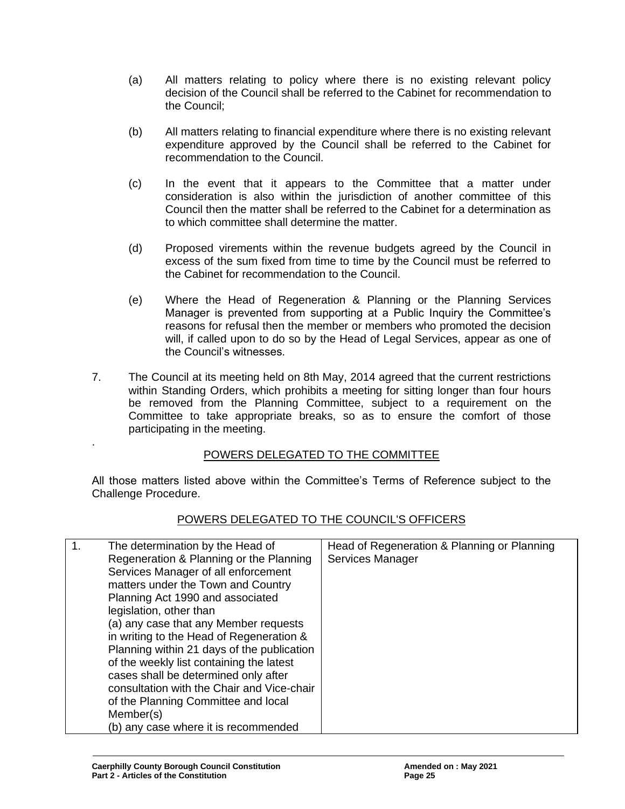- (a) All matters relating to policy where there is no existing relevant policy decision of the Council shall be referred to the Cabinet for recommendation to the Council;
- (b) All matters relating to financial expenditure where there is no existing relevant expenditure approved by the Council shall be referred to the Cabinet for recommendation to the Council.
- (c) In the event that it appears to the Committee that a matter under consideration is also within the jurisdiction of another committee of this Council then the matter shall be referred to the Cabinet for a determination as to which committee shall determine the matter.
- (d) Proposed virements within the revenue budgets agreed by the Council in excess of the sum fixed from time to time by the Council must be referred to the Cabinet for recommendation to the Council.
- (e) Where the Head of Regeneration & Planning or the Planning Services Manager is prevented from supporting at a Public Inquiry the Committee's reasons for refusal then the member or members who promoted the decision will, if called upon to do so by the Head of Legal Services, appear as one of the Council's witnesses.
- 7. The Council at its meeting held on 8th May, 2014 agreed that the current restrictions within Standing Orders, which prohibits a meeting for sitting longer than four hours be removed from the Planning Committee, subject to a requirement on the Committee to take appropriate breaks, so as to ensure the comfort of those participating in the meeting.

## POWERS DELEGATED TO THE COMMITTEE

All those matters listed above within the Committee's Terms of Reference subject to the Challenge Procedure.

## POWERS DELEGATED TO THE COUNCIL'S OFFICERS

.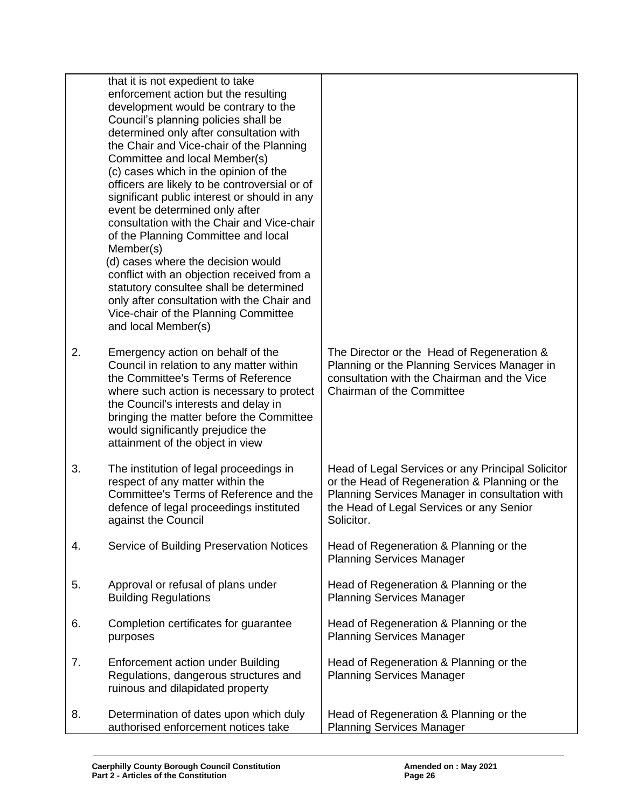|    | that it is not expedient to take<br>enforcement action but the resulting |                                                   |
|----|--------------------------------------------------------------------------|---------------------------------------------------|
|    | development would be contrary to the                                     |                                                   |
|    | Council's planning policies shall be                                     |                                                   |
|    | determined only after consultation with                                  |                                                   |
|    | the Chair and Vice-chair of the Planning                                 |                                                   |
|    | Committee and local Member(s)                                            |                                                   |
|    | (c) cases which in the opinion of the                                    |                                                   |
|    | officers are likely to be controversial or of                            |                                                   |
|    | significant public interest or should in any                             |                                                   |
|    | event be determined only after                                           |                                                   |
|    | consultation with the Chair and Vice-chair                               |                                                   |
|    | of the Planning Committee and local                                      |                                                   |
|    | Member(s)                                                                |                                                   |
|    | (d) cases where the decision would                                       |                                                   |
|    | conflict with an objection received from a                               |                                                   |
|    | statutory consultee shall be determined                                  |                                                   |
|    | only after consultation with the Chair and                               |                                                   |
|    | Vice-chair of the Planning Committee<br>and local Member(s)              |                                                   |
|    |                                                                          |                                                   |
| 2. | Emergency action on behalf of the                                        | The Director or the Head of Regeneration &        |
|    | Council in relation to any matter within                                 | Planning or the Planning Services Manager in      |
|    | the Committee's Terms of Reference                                       | consultation with the Chairman and the Vice       |
|    | where such action is necessary to protect                                | Chairman of the Committee                         |
|    | the Council's interests and delay in                                     |                                                   |
|    | bringing the matter before the Committee                                 |                                                   |
|    | would significantly prejudice the                                        |                                                   |
|    | attainment of the object in view                                         |                                                   |
|    |                                                                          |                                                   |
| 3. | The institution of legal proceedings in                                  | Head of Legal Services or any Principal Solicitor |
|    | respect of any matter within the                                         | or the Head of Regeneration & Planning or the     |
|    | Committee's Terms of Reference and the                                   | Planning Services Manager in consultation with    |
|    | defence of legal proceedings instituted                                  | the Head of Legal Services or any Senior          |
|    | against the Council                                                      | Solicitor.                                        |
| 4. | Service of Building Preservation Notices                                 | Head of Regeneration & Planning or the            |
|    |                                                                          | <b>Planning Services Manager</b>                  |
|    |                                                                          |                                                   |
| 5. | Approval or refusal of plans under                                       | Head of Regeneration & Planning or the            |
|    | <b>Building Regulations</b>                                              | <b>Planning Services Manager</b>                  |
|    |                                                                          |                                                   |
| 6. | Completion certificates for guarantee                                    | Head of Regeneration & Planning or the            |
|    | purposes                                                                 | <b>Planning Services Manager</b>                  |
| 7. | <b>Enforcement action under Building</b>                                 | Head of Regeneration & Planning or the            |
|    | Regulations, dangerous structures and                                    | <b>Planning Services Manager</b>                  |
|    | ruinous and dilapidated property                                         |                                                   |
|    |                                                                          |                                                   |
| 8. | Determination of dates upon which duly                                   | Head of Regeneration & Planning or the            |
|    | authorised enforcement notices take                                      | <b>Planning Services Manager</b>                  |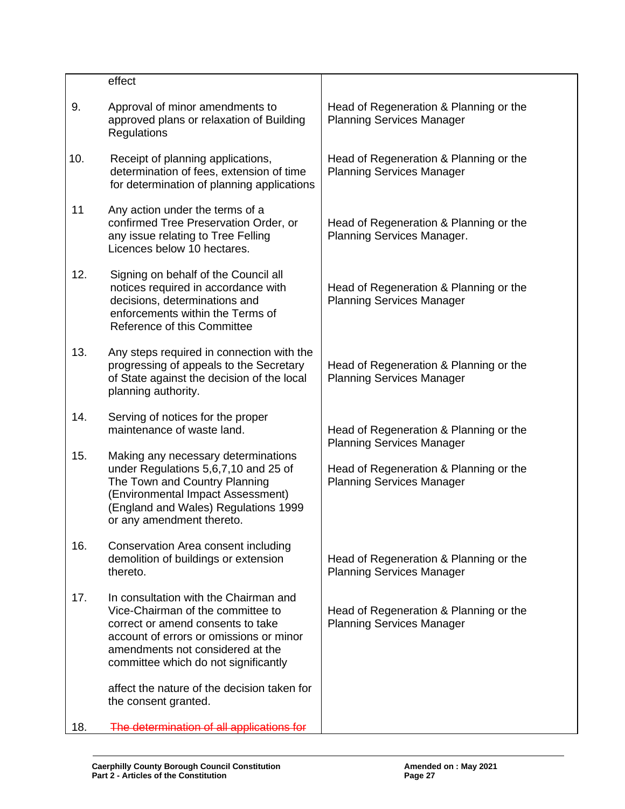|     | effect                                                                                                                                                                                                                                 |                                                                            |
|-----|----------------------------------------------------------------------------------------------------------------------------------------------------------------------------------------------------------------------------------------|----------------------------------------------------------------------------|
| 9.  | Approval of minor amendments to<br>approved plans or relaxation of Building<br>Regulations                                                                                                                                             | Head of Regeneration & Planning or the<br><b>Planning Services Manager</b> |
| 10. | Receipt of planning applications,<br>determination of fees, extension of time<br>for determination of planning applications                                                                                                            | Head of Regeneration & Planning or the<br><b>Planning Services Manager</b> |
| 11  | Any action under the terms of a<br>confirmed Tree Preservation Order, or<br>any issue relating to Tree Felling<br>Licences below 10 hectares.                                                                                          | Head of Regeneration & Planning or the<br>Planning Services Manager.       |
| 12. | Signing on behalf of the Council all<br>notices required in accordance with<br>decisions, determinations and<br>enforcements within the Terms of<br>Reference of this Committee                                                        | Head of Regeneration & Planning or the<br><b>Planning Services Manager</b> |
| 13. | Any steps required in connection with the<br>progressing of appeals to the Secretary<br>of State against the decision of the local<br>planning authority.                                                                              | Head of Regeneration & Planning or the<br><b>Planning Services Manager</b> |
| 14. | Serving of notices for the proper<br>maintenance of waste land.                                                                                                                                                                        | Head of Regeneration & Planning or the<br><b>Planning Services Manager</b> |
| 15. | Making any necessary determinations<br>under Regulations 5,6,7,10 and 25 of<br>The Town and Country Planning<br>(Environmental Impact Assessment)<br>(England and Wales) Regulations 1999<br>or any amendment thereto.                 | Head of Regeneration & Planning or the<br><b>Planning Services Manager</b> |
| 16. | Conservation Area consent including<br>demolition of buildings or extension<br>thereto.                                                                                                                                                | Head of Regeneration & Planning or the<br><b>Planning Services Manager</b> |
| 17. | In consultation with the Chairman and<br>Vice-Chairman of the committee to<br>correct or amend consents to take<br>account of errors or omissions or minor<br>amendments not considered at the<br>committee which do not significantly | Head of Regeneration & Planning or the<br><b>Planning Services Manager</b> |
|     | affect the nature of the decision taken for<br>the consent granted.                                                                                                                                                                    |                                                                            |
| 18. | The determination of all applications for                                                                                                                                                                                              |                                                                            |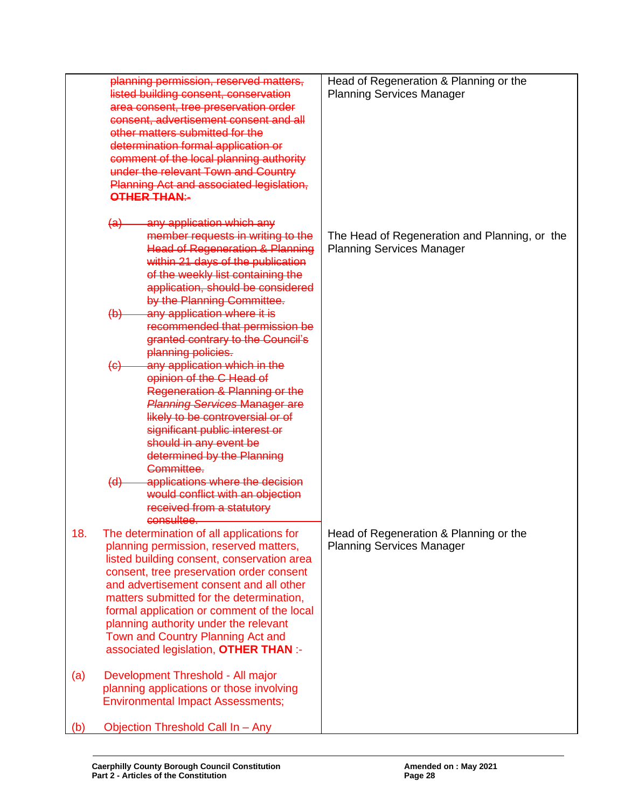|            | planning permission, reserved matters,<br>listed building consent, conservation<br>area consent, tree preservation order<br>consent, advertisement consent and all<br>other matters submitted for the<br>determination formal application or<br>comment of the local planning authority<br>under the relevant Town and Country<br>Planning Act and associated legislation,                                                                              | Head of Regeneration & Planning or the<br><b>Planning Services Manager</b>        |
|------------|---------------------------------------------------------------------------------------------------------------------------------------------------------------------------------------------------------------------------------------------------------------------------------------------------------------------------------------------------------------------------------------------------------------------------------------------------------|-----------------------------------------------------------------------------------|
|            | OTHER THAN:-<br>(a) any application which any<br>member requests in writing to the<br><b>Head of Regeneration &amp; Planning</b><br>within 21 days of the publication<br>of the weekly list containing the<br>application, should be considered<br>by the Planning Committee.<br>any application where it is<br>$\left(\mathsf{b}\right)$<br>recommended that permission be<br>granted contrary to the Council's                                        | The Head of Regeneration and Planning, or the<br><b>Planning Services Manager</b> |
|            | planning policies.<br>any application which in the<br>$\left\{ \Theta \right\}$<br>opinion of the C Head of<br>Regeneration & Planning or the<br><b>Planning Services Manager are</b><br>likely to be controversial or of<br>significant public interest or<br>should in any event be<br>determined by the Planning<br>Committee.<br>applications where the decision<br>(d)<br>would conflict with an objection<br>received from a statutory            |                                                                                   |
| 18.        | consultee.<br>The determination of all applications for<br>planning permission, reserved matters,<br>listed building consent, conservation area<br>consent, tree preservation order consent<br>and advertisement consent and all other<br>matters submitted for the determination,<br>formal application or comment of the local<br>planning authority under the relevant<br>Town and Country Planning Act and<br>associated legislation, OTHER THAN :- | Head of Regeneration & Planning or the<br><b>Planning Services Manager</b>        |
| (a)<br>(b) | Development Threshold - All major<br>planning applications or those involving<br><b>Environmental Impact Assessments;</b><br>Objection Threshold Call In - Any                                                                                                                                                                                                                                                                                          |                                                                                   |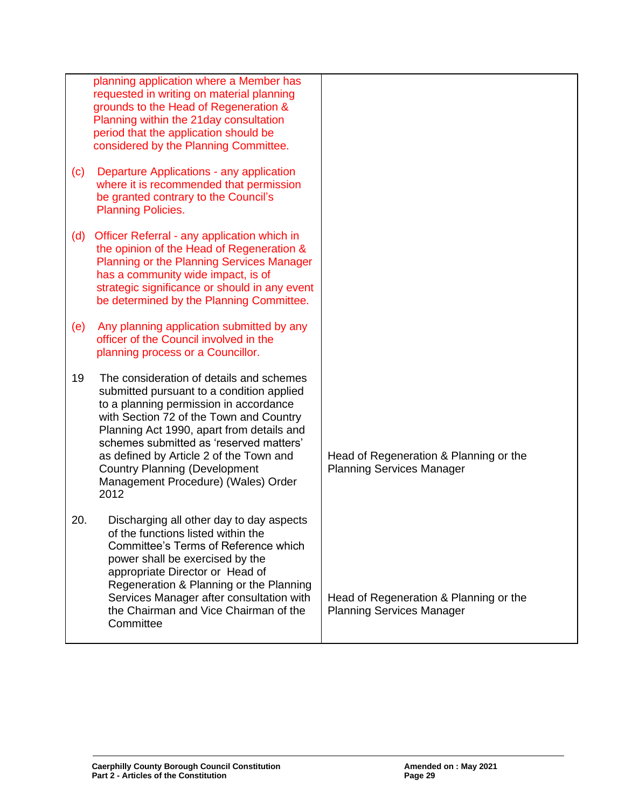|     | planning application where a Member has<br>requested in writing on material planning                                                                                                                                                                                                                                                                                                                 |                                                                            |
|-----|------------------------------------------------------------------------------------------------------------------------------------------------------------------------------------------------------------------------------------------------------------------------------------------------------------------------------------------------------------------------------------------------------|----------------------------------------------------------------------------|
|     | grounds to the Head of Regeneration &<br>Planning within the 21 day consultation<br>period that the application should be<br>considered by the Planning Committee.                                                                                                                                                                                                                                   |                                                                            |
| (c) | Departure Applications - any application<br>where it is recommended that permission<br>be granted contrary to the Council's<br><b>Planning Policies.</b>                                                                                                                                                                                                                                             |                                                                            |
| (d) | Officer Referral - any application which in<br>the opinion of the Head of Regeneration &<br>Planning or the Planning Services Manager<br>has a community wide impact, is of<br>strategic significance or should in any event<br>be determined by the Planning Committee.                                                                                                                             |                                                                            |
| (e) | Any planning application submitted by any<br>officer of the Council involved in the<br>planning process or a Councillor.                                                                                                                                                                                                                                                                             |                                                                            |
| 19  | The consideration of details and schemes<br>submitted pursuant to a condition applied<br>to a planning permission in accordance<br>with Section 72 of the Town and Country<br>Planning Act 1990, apart from details and<br>schemes submitted as 'reserved matters'<br>as defined by Article 2 of the Town and<br><b>Country Planning (Development</b><br>Management Procedure) (Wales) Order<br>2012 | Head of Regeneration & Planning or the<br><b>Planning Services Manager</b> |
| 20. | Discharging all other day to day aspects<br>of the functions listed within the<br>Committee's Terms of Reference which<br>power shall be exercised by the<br>appropriate Director or Head of<br>Regeneration & Planning or the Planning<br>Services Manager after consultation with<br>the Chairman and Vice Chairman of the<br>Committee                                                            | Head of Regeneration & Planning or the<br><b>Planning Services Manager</b> |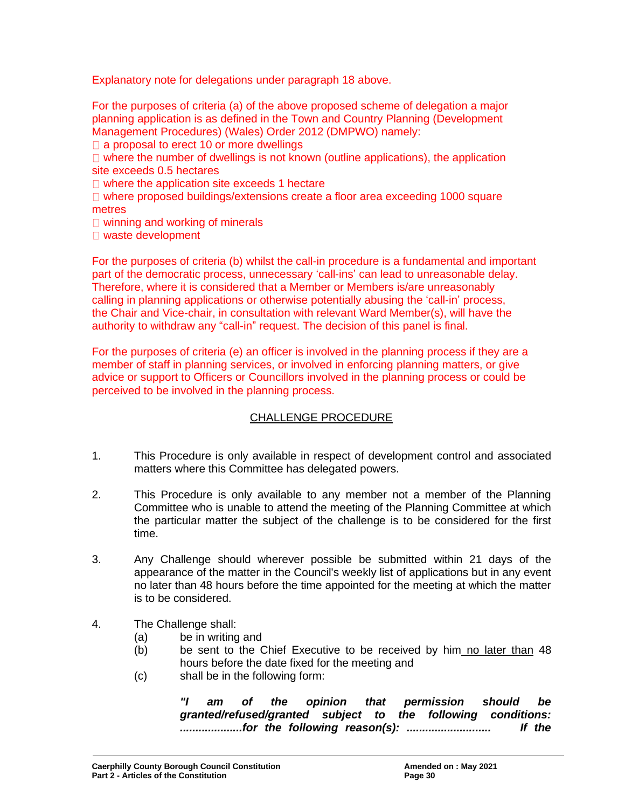Explanatory note for delegations under paragraph 18 above.

For the purposes of criteria (a) of the above proposed scheme of delegation a major planning application is as defined in the Town and Country Planning (Development Management Procedures) (Wales) Order 2012 (DMPWO) namely:

 $\Box$  a proposal to erect 10 or more dwellings

 $\Box$  where the number of dwellings is not known (outline applications), the application site exceeds 0.5 hectares

 $\Box$  where the application site exceeds 1 hectare

 $\Box$  where proposed buildings/extensions create a floor area exceeding 1000 square metres

□ winning and working of minerals

□ waste development

For the purposes of criteria (b) whilst the call-in procedure is a fundamental and important part of the democratic process, unnecessary 'call-ins' can lead to unreasonable delay. Therefore, where it is considered that a Member or Members is/are unreasonably calling in planning applications or otherwise potentially abusing the 'call-in' process, the Chair and Vice-chair, in consultation with relevant Ward Member(s), will have the authority to withdraw any "call-in" request. The decision of this panel is final.

For the purposes of criteria (e) an officer is involved in the planning process if they are a member of staff in planning services, or involved in enforcing planning matters, or give advice or support to Officers or Councillors involved in the planning process or could be perceived to be involved in the planning process.

## CHALLENGE PROCEDURE

- 1. This Procedure is only available in respect of development control and associated matters where this Committee has delegated powers.
- 2. This Procedure is only available to any member not a member of the Planning Committee who is unable to attend the meeting of the Planning Committee at which the particular matter the subject of the challenge is to be considered for the first time.
- 3. Any Challenge should wherever possible be submitted within 21 days of the appearance of the matter in the Council's weekly list of applications but in any event no later than 48 hours before the time appointed for the meeting at which the matter is to be considered.
- 4. The Challenge shall:
	- (a) be in writing and
	- (b) be sent to the Chief Executive to be received by him no later than 48 hours before the date fixed for the meeting and
	- (c) shall be in the following form:

*"I am of the opinion that permission should be granted/refused/granted subject to the following conditions: ....................for the following reason(s): ........................... If the*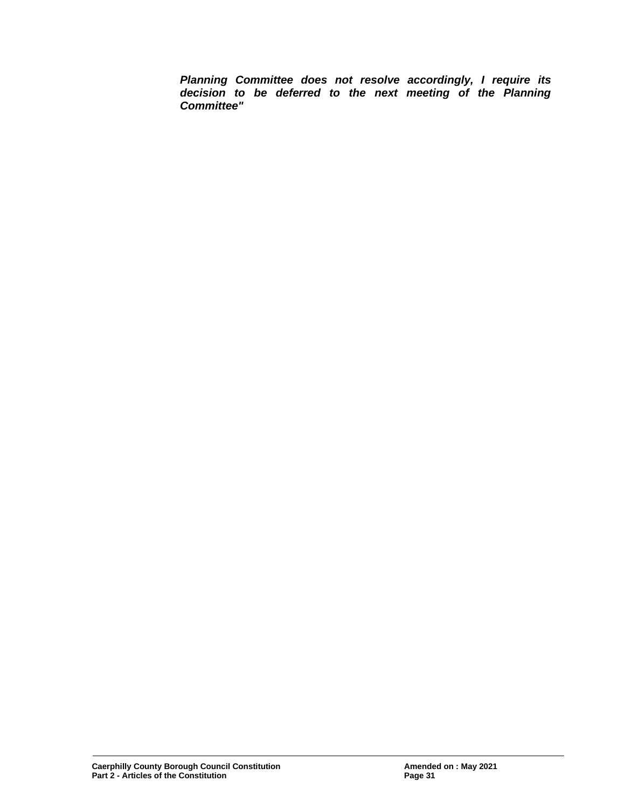*Planning Committee does not resolve accordingly, I require its decision to be deferred to the next meeting of the Planning Committee"*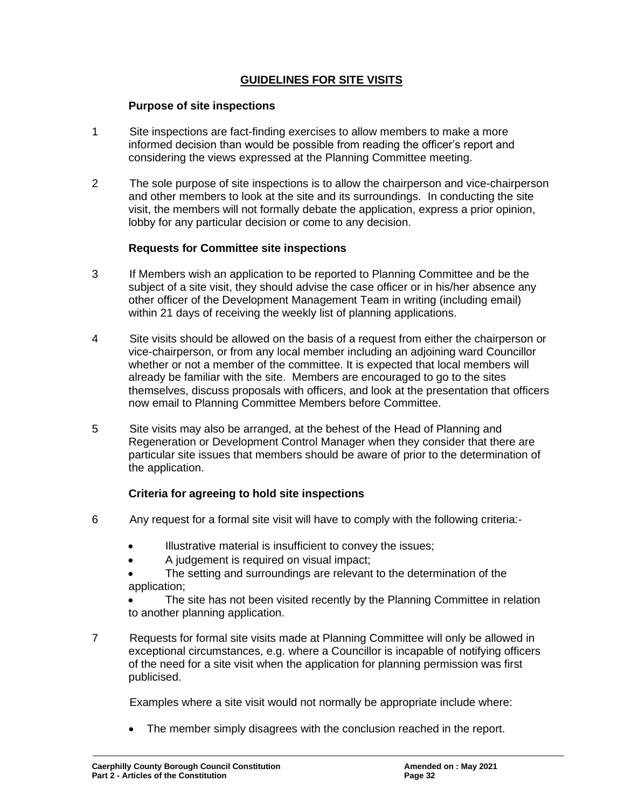## **GUIDELINES FOR SITE VISITS**

#### **Purpose of site inspections**

- 1 Site inspections are fact-finding exercises to allow members to make a more informed decision than would be possible from reading the officer's report and considering the views expressed at the Planning Committee meeting.
- 2 The sole purpose of site inspections is to allow the chairperson and vice-chairperson and other members to look at the site and its surroundings. In conducting the site visit, the members will not formally debate the application, express a prior opinion, lobby for any particular decision or come to any decision.

## **Requests for Committee site inspections**

- 3 If Members wish an application to be reported to Planning Committee and be the subject of a site visit, they should advise the case officer or in his/her absence any other officer of the Development Management Team in writing (including email) within 21 days of receiving the weekly list of planning applications.
- 4 Site visits should be allowed on the basis of a request from either the chairperson or vice-chairperson, or from any local member including an adjoining ward Councillor whether or not a member of the committee. It is expected that local members will already be familiar with the site. Members are encouraged to go to the sites themselves, discuss proposals with officers, and look at the presentation that officers now email to Planning Committee Members before Committee.
- 5 Site visits may also be arranged, at the behest of the Head of Planning and Regeneration or Development Control Manager when they consider that there are particular site issues that members should be aware of prior to the determination of the application.

## **Criteria for agreeing to hold site inspections**

- 6 Any request for a formal site visit will have to comply with the following criteria:-
	- Illustrative material is insufficient to convey the issues;
	- A judgement is required on visual impact;
	- The setting and surroundings are relevant to the determination of the application;
	- The site has not been visited recently by the Planning Committee in relation to another planning application.
- 7 Requests for formal site visits made at Planning Committee will only be allowed in exceptional circumstances, e.g. where a Councillor is incapable of notifying officers of the need for a site visit when the application for planning permission was first publicised.

Examples where a site visit would not normally be appropriate include where:

• The member simply disagrees with the conclusion reached in the report.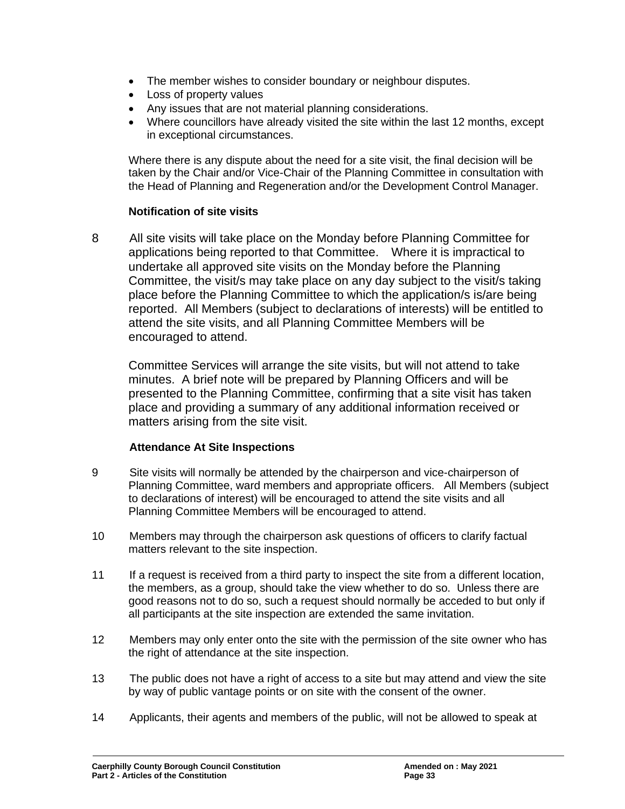- The member wishes to consider boundary or neighbour disputes.
- Loss of property values
- Any issues that are not material planning considerations.
- Where councillors have already visited the site within the last 12 months, except in exceptional circumstances.

Where there is any dispute about the need for a site visit, the final decision will be taken by the Chair and/or Vice-Chair of the Planning Committee in consultation with the Head of Planning and Regeneration and/or the Development Control Manager.

## **Notification of site visits**

8 All site visits will take place on the Monday before Planning Committee for applications being reported to that Committee. Where it is impractical to undertake all approved site visits on the Monday before the Planning Committee, the visit/s may take place on any day subject to the visit/s taking place before the Planning Committee to which the application/s is/are being reported. All Members (subject to declarations of interests) will be entitled to attend the site visits, and all Planning Committee Members will be encouraged to attend.

Committee Services will arrange the site visits, but will not attend to take minutes. A brief note will be prepared by Planning Officers and will be presented to the Planning Committee, confirming that a site visit has taken place and providing a summary of any additional information received or matters arising from the site visit.

## **Attendance At Site Inspections**

- 9 Site visits will normally be attended by the chairperson and vice-chairperson of Planning Committee, ward members and appropriate officers. All Members (subject to declarations of interest) will be encouraged to attend the site visits and all Planning Committee Members will be encouraged to attend.
- 10 Members may through the chairperson ask questions of officers to clarify factual matters relevant to the site inspection.
- 11 If a request is received from a third party to inspect the site from a different location, the members, as a group, should take the view whether to do so. Unless there are good reasons not to do so, such a request should normally be acceded to but only if all participants at the site inspection are extended the same invitation.
- 12 Members may only enter onto the site with the permission of the site owner who has the right of attendance at the site inspection.
- 13 The public does not have a right of access to a site but may attend and view the site by way of public vantage points or on site with the consent of the owner.
- 14 Applicants, their agents and members of the public, will not be allowed to speak at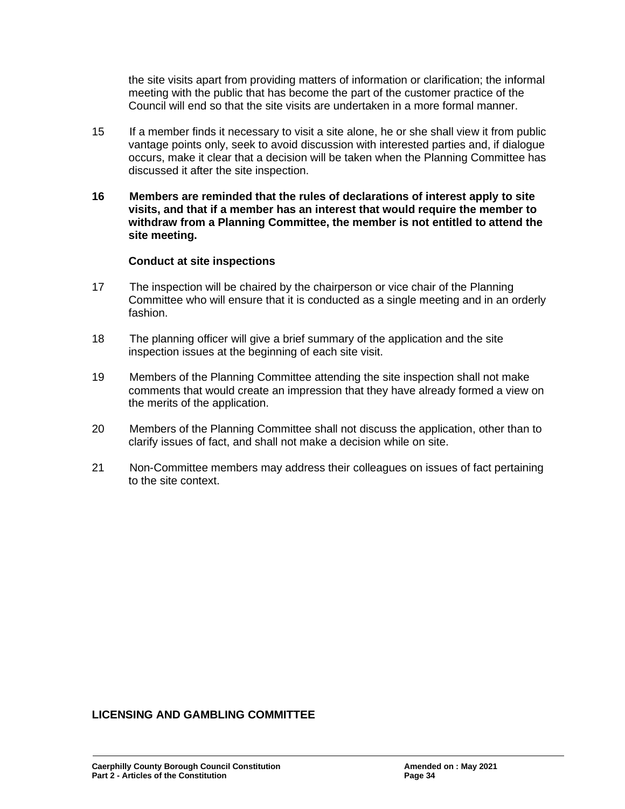the site visits apart from providing matters of information or clarification; the informal meeting with the public that has become the part of the customer practice of the Council will end so that the site visits are undertaken in a more formal manner.

- 15 If a member finds it necessary to visit a site alone, he or she shall view it from public vantage points only, seek to avoid discussion with interested parties and, if dialogue occurs, make it clear that a decision will be taken when the Planning Committee has discussed it after the site inspection.
- **16 Members are reminded that the rules of declarations of interest apply to site visits, and that if a member has an interest that would require the member to withdraw from a Planning Committee, the member is not entitled to attend the site meeting.**

#### **Conduct at site inspections**

- 17 The inspection will be chaired by the chairperson or vice chair of the Planning Committee who will ensure that it is conducted as a single meeting and in an orderly fashion.
- 18 The planning officer will give a brief summary of the application and the site inspection issues at the beginning of each site visit.
- 19 Members of the Planning Committee attending the site inspection shall not make comments that would create an impression that they have already formed a view on the merits of the application.
- 20 Members of the Planning Committee shall not discuss the application, other than to clarify issues of fact, and shall not make a decision while on site.
- 21 Non-Committee members may address their colleagues on issues of fact pertaining to the site context.

#### **LICENSING AND GAMBLING COMMITTEE**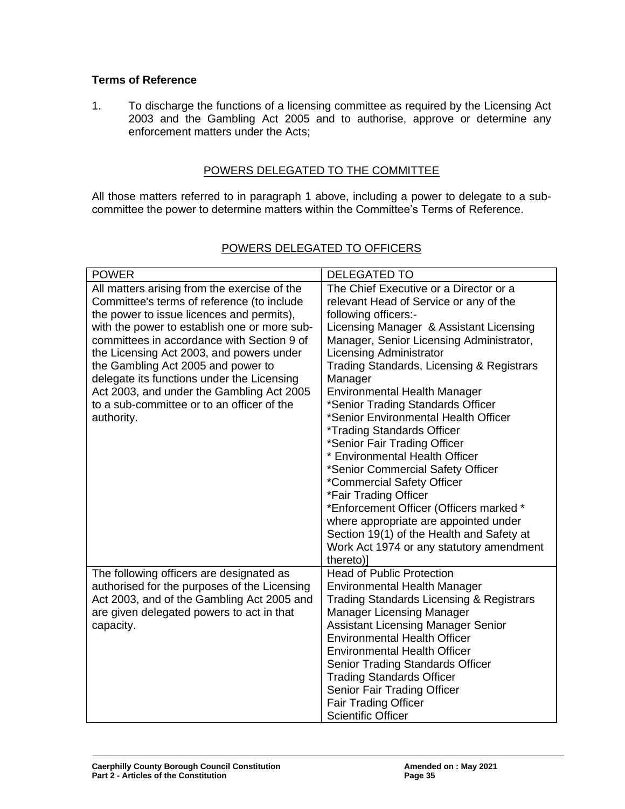## **Terms of Reference**

1. To discharge the functions of a licensing committee as required by the Licensing Act 2003 and the Gambling Act 2005 and to authorise, approve or determine any enforcement matters under the Acts;

### POWERS DELEGATED TO THE COMMITTEE

All those matters referred to in paragraph 1 above, including a power to delegate to a subcommittee the power to determine matters within the Committee's Terms of Reference.

| <b>POWER</b>                                                                                                                                                                                                                                                                                                                                                                                                                                                                   | <b>DELEGATED TO</b>                                                                                                                                                                                                                                                                                                                                                                                                                                                                                                                                                                                                                                                                                                                                                                                               |
|--------------------------------------------------------------------------------------------------------------------------------------------------------------------------------------------------------------------------------------------------------------------------------------------------------------------------------------------------------------------------------------------------------------------------------------------------------------------------------|-------------------------------------------------------------------------------------------------------------------------------------------------------------------------------------------------------------------------------------------------------------------------------------------------------------------------------------------------------------------------------------------------------------------------------------------------------------------------------------------------------------------------------------------------------------------------------------------------------------------------------------------------------------------------------------------------------------------------------------------------------------------------------------------------------------------|
| All matters arising from the exercise of the<br>Committee's terms of reference (to include<br>the power to issue licences and permits),<br>with the power to establish one or more sub-<br>committees in accordance with Section 9 of<br>the Licensing Act 2003, and powers under<br>the Gambling Act 2005 and power to<br>delegate its functions under the Licensing<br>Act 2003, and under the Gambling Act 2005<br>to a sub-committee or to an officer of the<br>authority. | The Chief Executive or a Director or a<br>relevant Head of Service or any of the<br>following officers:-<br>Licensing Manager & Assistant Licensing<br>Manager, Senior Licensing Administrator,<br><b>Licensing Administrator</b><br>Trading Standards, Licensing & Registrars<br>Manager<br><b>Environmental Health Manager</b><br>*Senior Trading Standards Officer<br>*Senior Environmental Health Officer<br><i><b>*Trading Standards Officer</b></i><br>*Senior Fair Trading Officer<br>* Environmental Health Officer<br>*Senior Commercial Safety Officer<br>*Commercial Safety Officer<br>*Fair Trading Officer<br>*Enforcement Officer (Officers marked *<br>where appropriate are appointed under<br>Section 19(1) of the Health and Safety at<br>Work Act 1974 or any statutory amendment<br>thereto)] |
| The following officers are designated as<br>authorised for the purposes of the Licensing<br>Act 2003, and of the Gambling Act 2005 and<br>are given delegated powers to act in that<br>capacity.                                                                                                                                                                                                                                                                               | <b>Head of Public Protection</b><br><b>Environmental Health Manager</b><br><b>Trading Standards Licensing &amp; Registrars</b><br><b>Manager Licensing Manager</b><br><b>Assistant Licensing Manager Senior</b><br><b>Environmental Health Officer</b><br><b>Environmental Health Officer</b><br><b>Senior Trading Standards Officer</b><br><b>Trading Standards Officer</b><br>Senior Fair Trading Officer<br><b>Fair Trading Officer</b><br><b>Scientific Officer</b>                                                                                                                                                                                                                                                                                                                                           |

## POWERS DELEGATED TO OFFICERS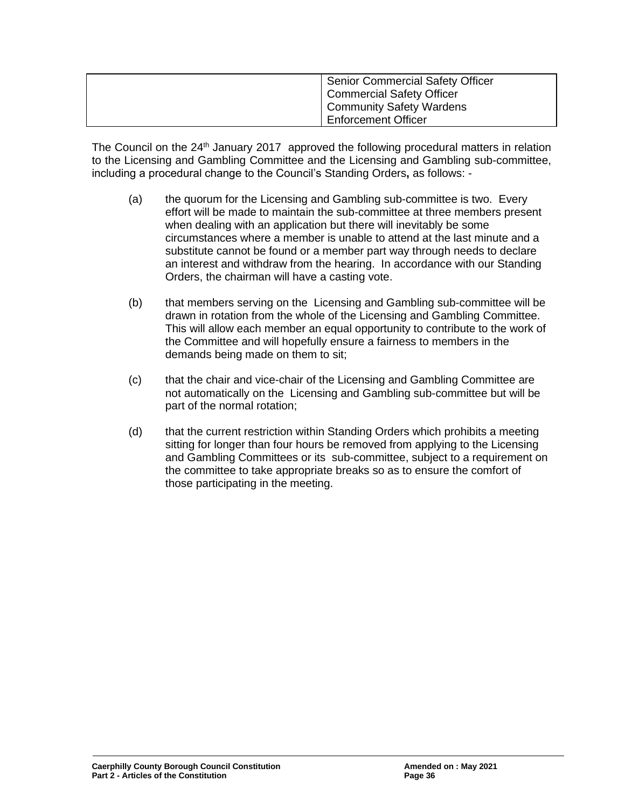| Senior Commercial Safety Officer |
|----------------------------------|
|                                  |
| Commercial Safety Officer        |
| Community Safety Wardens         |
|                                  |
| <b>Enforcement Officer</b>       |

The Council on the 24<sup>th</sup> January 2017 approved the following procedural matters in relation to the Licensing and Gambling Committee and the Licensing and Gambling sub-committee, including a procedural change to the Council's Standing Orders**,** as follows: -

- (a) the quorum for the Licensing and Gambling sub-committee is two. Every effort will be made to maintain the sub-committee at three members present when dealing with an application but there will inevitably be some circumstances where a member is unable to attend at the last minute and a substitute cannot be found or a member part way through needs to declare an interest and withdraw from the hearing. In accordance with our Standing Orders, the chairman will have a casting vote.
- (b) that members serving on the Licensing and Gambling sub-committee will be drawn in rotation from the whole of the Licensing and Gambling Committee. This will allow each member an equal opportunity to contribute to the work of the Committee and will hopefully ensure a fairness to members in the demands being made on them to sit;
- (c) that the chair and vice-chair of the Licensing and Gambling Committee are not automatically on the Licensing and Gambling sub-committee but will be part of the normal rotation;
- (d) that the current restriction within Standing Orders which prohibits a meeting sitting for longer than four hours be removed from applying to the Licensing and Gambling Committees or its sub-committee, subject to a requirement on the committee to take appropriate breaks so as to ensure the comfort of those participating in the meeting.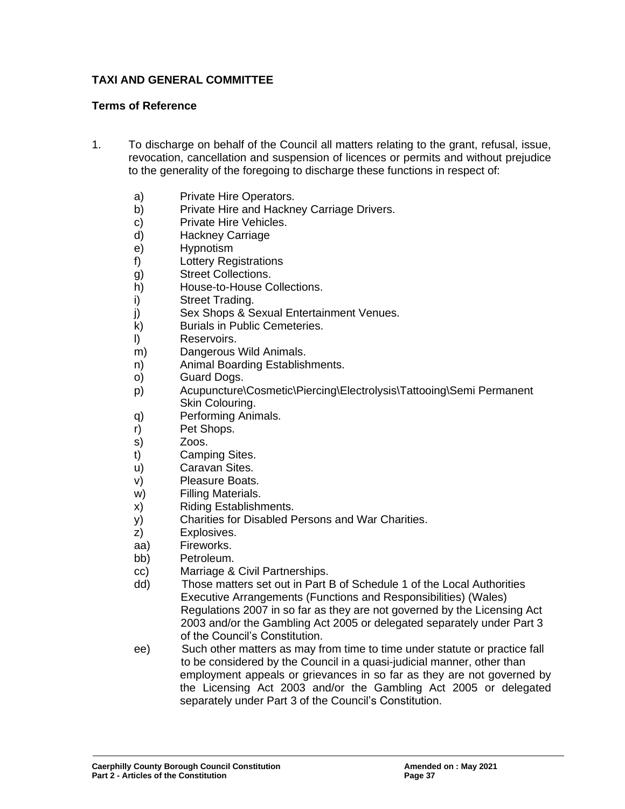## **TAXI AND GENERAL COMMITTEE**

#### **Terms of Reference**

- 1. To discharge on behalf of the Council all matters relating to the grant, refusal, issue, revocation, cancellation and suspension of licences or permits and without prejudice to the generality of the foregoing to discharge these functions in respect of:
	- a) Private Hire Operators.
	- b) Private Hire and Hackney Carriage Drivers.
	- c) Private Hire Vehicles.
	- d) Hackney Carriage
	- e) Hypnotism
	- f) Lottery Registrations
	- g) Street Collections.
	- h) House-to-House Collections.
	- i) Street Trading.
	- j) Sex Shops & Sexual Entertainment Venues.
	- k) Burials in Public Cemeteries.
	- l) Reservoirs.
	- m) Dangerous Wild Animals.
	- n) Animal Boarding Establishments.
	- o) Guard Dogs.
	- p) Acupuncture\Cosmetic\Piercing\Electrolysis\Tattooing\Semi Permanent Skin Colouring.
	- q) Performing Animals.
	- r) Pet Shops.
	- s) Zoos.
	- t) Camping Sites.
	- u) Caravan Sites.
	- v) Pleasure Boats.
	- w) Filling Materials.
	- x) Riding Establishments.
	- y) Charities for Disabled Persons and War Charities.
	- z) Explosives.
	- aa) Fireworks.
	- bb) Petroleum.
	- cc) Marriage & Civil Partnerships.
	- dd) Those matters set out in Part B of Schedule 1 of the Local Authorities Executive Arrangements (Functions and Responsibilities) (Wales) Regulations 2007 in so far as they are not governed by the Licensing Act 2003 and/or the Gambling Act 2005 or delegated separately under Part 3 of the Council's Constitution.
	- ee) Such other matters as may from time to time under statute or practice fall to be considered by the Council in a quasi-judicial manner, other than employment appeals or grievances in so far as they are not governed by the Licensing Act 2003 and/or the Gambling Act 2005 or delegated separately under Part 3 of the Council's Constitution.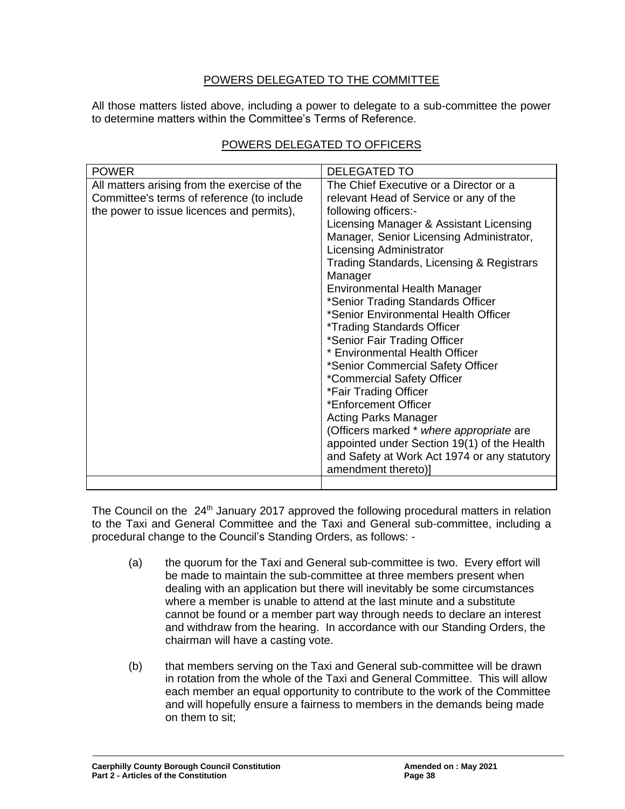## POWERS DELEGATED TO THE COMMITTEE

All those matters listed above, including a power to delegate to a sub-committee the power to determine matters within the Committee's Terms of Reference.

| <b>POWER</b>                                 | <b>DELEGATED TO</b>                                                 |
|----------------------------------------------|---------------------------------------------------------------------|
| All matters arising from the exercise of the | The Chief Executive or a Director or a                              |
| Committee's terms of reference (to include   | relevant Head of Service or any of the                              |
| the power to issue licences and permits),    | following officers:-                                                |
|                                              | Licensing Manager & Assistant Licensing                             |
|                                              | Manager, Senior Licensing Administrator,                            |
|                                              | <b>Licensing Administrator</b>                                      |
|                                              | Trading Standards, Licensing & Registrars                           |
|                                              | Manager                                                             |
|                                              | <b>Environmental Health Manager</b>                                 |
|                                              | *Senior Trading Standards Officer                                   |
|                                              | *Senior Environmental Health Officer                                |
|                                              | <i>*Trading Standards Officer</i>                                   |
|                                              | *Senior Fair Trading Officer                                        |
|                                              | * Environmental Health Officer                                      |
|                                              | *Senior Commercial Safety Officer                                   |
|                                              | *Commercial Safety Officer                                          |
|                                              | *Fair Trading Officer                                               |
|                                              | *Enforcement Officer                                                |
|                                              | <b>Acting Parks Manager</b>                                         |
|                                              | (Officers marked * where appropriate are                            |
|                                              | appointed under Section 19(1) of the Health                         |
|                                              | and Safety at Work Act 1974 or any statutory<br>amendment thereto)] |
|                                              |                                                                     |
|                                              |                                                                     |

## POWERS DELEGATED TO OFFICERS

The Council on the 24<sup>th</sup> January 2017 approved the following procedural matters in relation to the Taxi and General Committee and the Taxi and General sub-committee, including a procedural change to the Council's Standing Orders, as follows: -

- (a) the quorum for the Taxi and General sub-committee is two. Every effort will be made to maintain the sub-committee at three members present when dealing with an application but there will inevitably be some circumstances where a member is unable to attend at the last minute and a substitute cannot be found or a member part way through needs to declare an interest and withdraw from the hearing. In accordance with our Standing Orders, the chairman will have a casting vote.
- (b) that members serving on the Taxi and General sub-committee will be drawn in rotation from the whole of the Taxi and General Committee. This will allow each member an equal opportunity to contribute to the work of the Committee and will hopefully ensure a fairness to members in the demands being made on them to sit;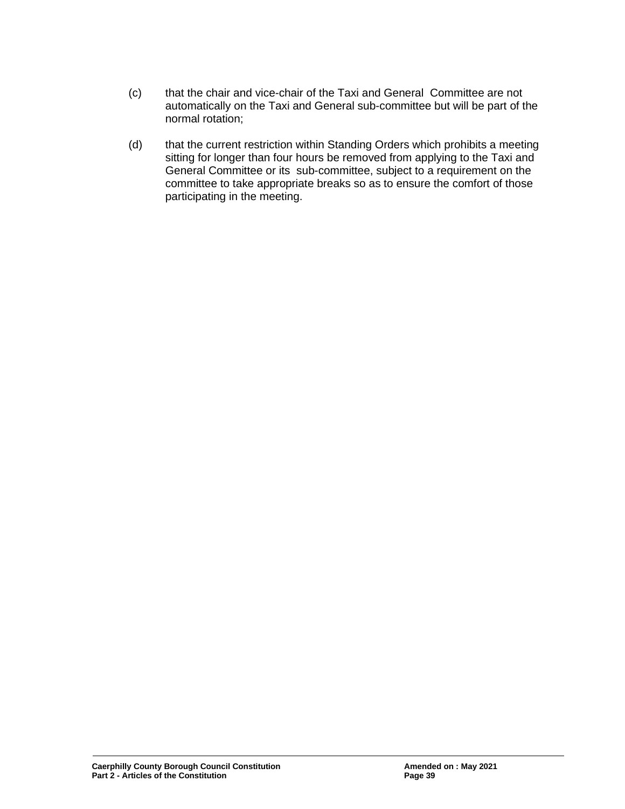- (c) that the chair and vice-chair of the Taxi and General Committee are not automatically on the Taxi and General sub-committee but will be part of the normal rotation;
- (d) that the current restriction within Standing Orders which prohibits a meeting sitting for longer than four hours be removed from applying to the Taxi and General Committee or its sub-committee, subject to a requirement on the committee to take appropriate breaks so as to ensure the comfort of those participating in the meeting.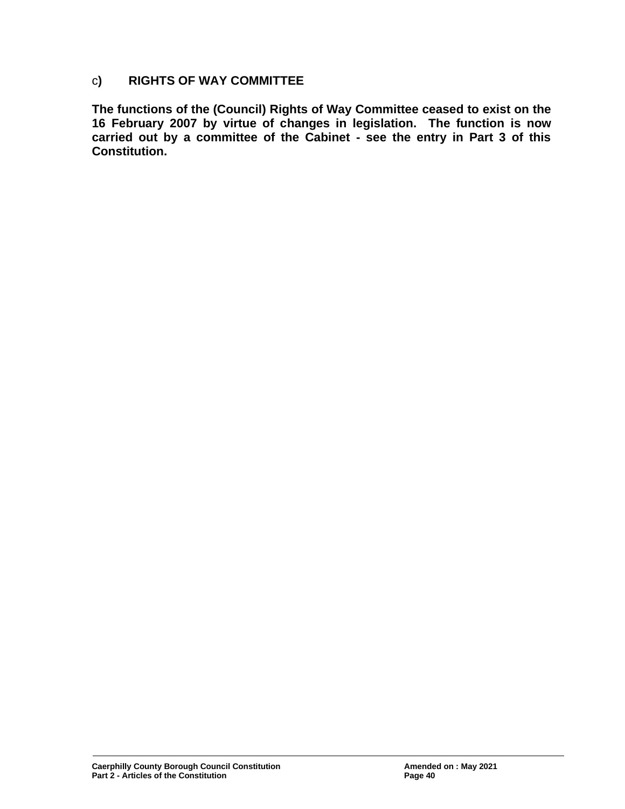## c**) RIGHTS OF WAY COMMITTEE**

**The functions of the (Council) Rights of Way Committee ceased to exist on the 16 February 2007 by virtue of changes in legislation. The function is now carried out by a committee of the Cabinet - see the entry in Part 3 of this Constitution.**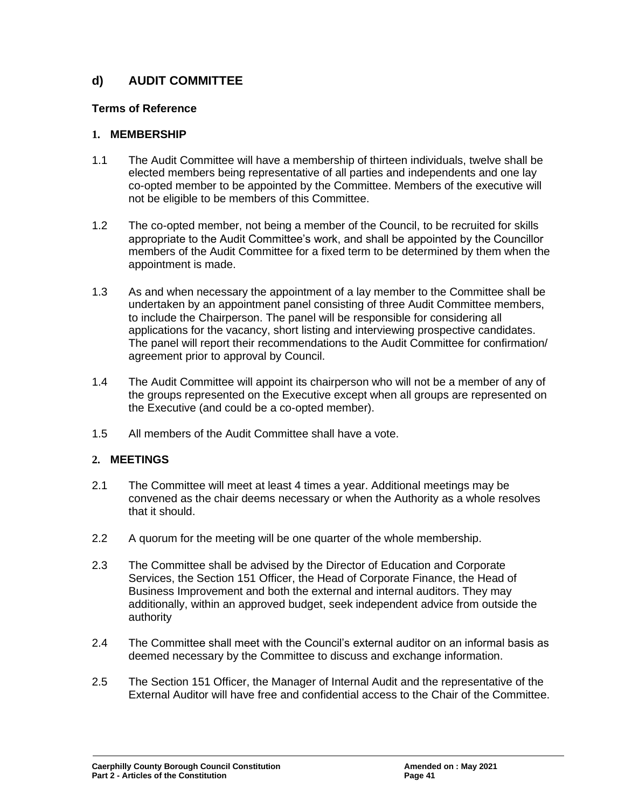## **d) AUDIT COMMITTEE**

## **Terms of Reference**

## **1. MEMBERSHIP**

- 1.1 The Audit Committee will have a membership of thirteen individuals, twelve shall be elected members being representative of all parties and independents and one lay co-opted member to be appointed by the Committee. Members of the executive will not be eligible to be members of this Committee.
- 1.2 The co-opted member, not being a member of the Council, to be recruited for skills appropriate to the Audit Committee's work, and shall be appointed by the Councillor members of the Audit Committee for a fixed term to be determined by them when the appointment is made.
- 1.3 As and when necessary the appointment of a lay member to the Committee shall be undertaken by an appointment panel consisting of three Audit Committee members, to include the Chairperson. The panel will be responsible for considering all applications for the vacancy, short listing and interviewing prospective candidates. The panel will report their recommendations to the Audit Committee for confirmation/ agreement prior to approval by Council.
- 1.4 The Audit Committee will appoint its chairperson who will not be a member of any of the groups represented on the Executive except when all groups are represented on the Executive (and could be a co-opted member).
- 1.5 All members of the Audit Committee shall have a vote.

## **2. MEETINGS**

- 2.1 The Committee will meet at least 4 times a year. Additional meetings may be convened as the chair deems necessary or when the Authority as a whole resolves that it should.
- 2.2 A quorum for the meeting will be one quarter of the whole membership.
- 2.3 The Committee shall be advised by the Director of Education and Corporate Services, the Section 151 Officer, the Head of Corporate Finance, the Head of Business Improvement and both the external and internal auditors. They may additionally, within an approved budget, seek independent advice from outside the authority
- 2.4 The Committee shall meet with the Council's external auditor on an informal basis as deemed necessary by the Committee to discuss and exchange information.
- 2.5 The Section 151 Officer, the Manager of Internal Audit and the representative of the External Auditor will have free and confidential access to the Chair of the Committee.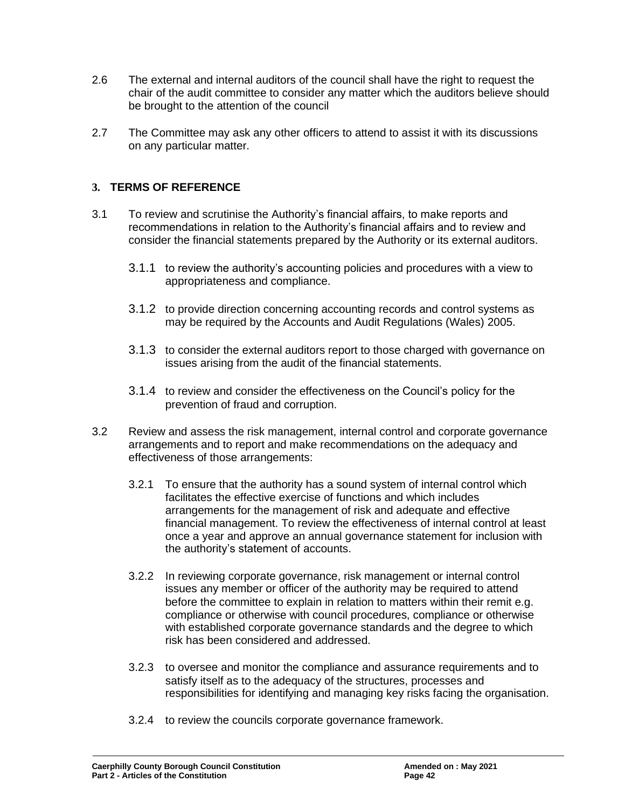- 2.6 The external and internal auditors of the council shall have the right to request the chair of the audit committee to consider any matter which the auditors believe should be brought to the attention of the council
- 2.7 The Committee may ask any other officers to attend to assist it with its discussions on any particular matter.

## **3. TERMS OF REFERENCE**

- 3.1 To review and scrutinise the Authority's financial affairs, to make reports and recommendations in relation to the Authority's financial affairs and to review and consider the financial statements prepared by the Authority or its external auditors.
	- 3.1.1 to review the authority's accounting policies and procedures with a view to appropriateness and compliance.
	- 3.1.2 to provide direction concerning accounting records and control systems as may be required by the Accounts and Audit Regulations (Wales) 2005.
	- 3.1.3 to consider the external auditors report to those charged with governance on issues arising from the audit of the financial statements.
	- 3.1.4 to review and consider the effectiveness on the Council's policy for the prevention of fraud and corruption.
- 3.2 Review and assess the risk management, internal control and corporate governance arrangements and to report and make recommendations on the adequacy and effectiveness of those arrangements:
	- 3.2.1 To ensure that the authority has a sound system of internal control which facilitates the effective exercise of functions and which includes arrangements for the management of risk and adequate and effective financial management. To review the effectiveness of internal control at least once a year and approve an annual governance statement for inclusion with the authority's statement of accounts.
	- 3.2.2 In reviewing corporate governance, risk management or internal control issues any member or officer of the authority may be required to attend before the committee to explain in relation to matters within their remit e.g. compliance or otherwise with council procedures, compliance or otherwise with established corporate governance standards and the degree to which risk has been considered and addressed.
	- 3.2.3 to oversee and monitor the compliance and assurance requirements and to satisfy itself as to the adequacy of the structures, processes and responsibilities for identifying and managing key risks facing the organisation.
	- 3.2.4 to review the councils corporate governance framework.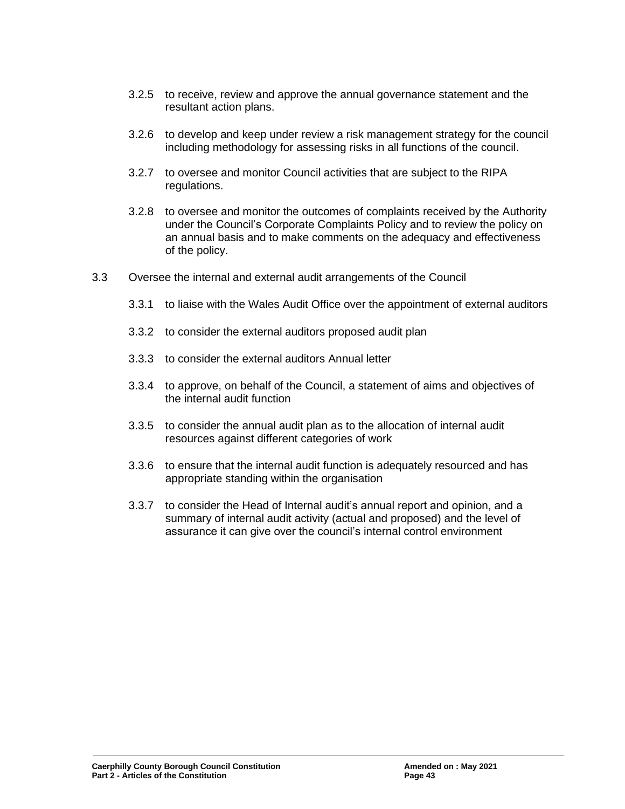- 3.2.5 to receive, review and approve the annual governance statement and the resultant action plans.
- 3.2.6 to develop and keep under review a risk management strategy for the council including methodology for assessing risks in all functions of the council.
- 3.2.7 to oversee and monitor Council activities that are subject to the RIPA regulations.
- 3.2.8 to oversee and monitor the outcomes of complaints received by the Authority under the Council's Corporate Complaints Policy and to review the policy on an annual basis and to make comments on the adequacy and effectiveness of the policy.
- 3.3 Oversee the internal and external audit arrangements of the Council
	- 3.3.1 to liaise with the Wales Audit Office over the appointment of external auditors
	- 3.3.2 to consider the external auditors proposed audit plan
	- 3.3.3 to consider the external auditors Annual letter
	- 3.3.4 to approve, on behalf of the Council, a statement of aims and objectives of the internal audit function
	- 3.3.5 to consider the annual audit plan as to the allocation of internal audit resources against different categories of work
	- 3.3.6 to ensure that the internal audit function is adequately resourced and has appropriate standing within the organisation
	- 3.3.7 to consider the Head of Internal audit's annual report and opinion, and a summary of internal audit activity (actual and proposed) and the level of assurance it can give over the council's internal control environment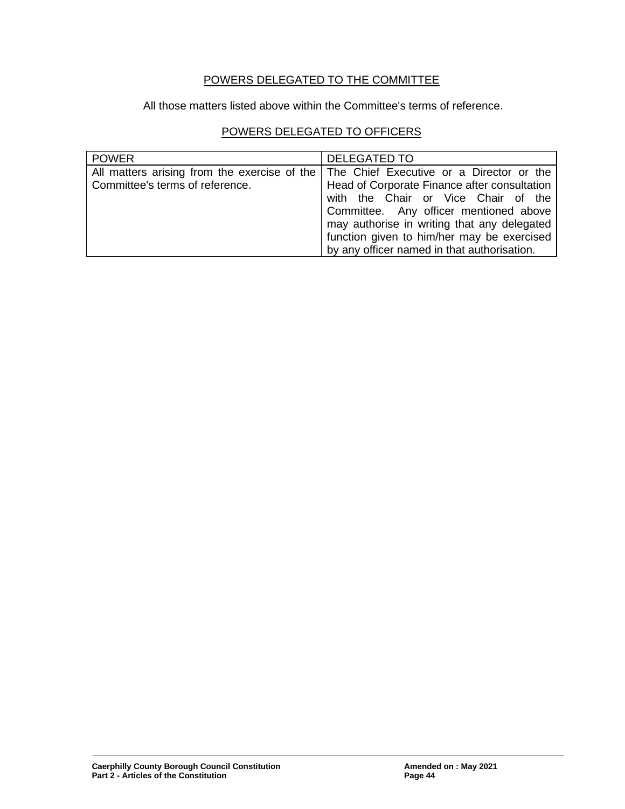## POWERS DELEGATED TO THE COMMITTEE

All those matters listed above within the Committee's terms of reference.

## POWERS DELEGATED TO OFFICERS

| <b>POWER</b>                                                                    | <b>DELEGATED TO</b>                                                                                                                                                                                                                                                                                                   |
|---------------------------------------------------------------------------------|-----------------------------------------------------------------------------------------------------------------------------------------------------------------------------------------------------------------------------------------------------------------------------------------------------------------------|
| All matters arising from the exercise of the<br>Committee's terms of reference. | The Chief Executive or a Director or the<br>Head of Corporate Finance after consultation<br>with the Chair or Vice Chair of the<br>Committee. Any officer mentioned above<br>may authorise in writing that any delegated<br>function given to him/her may be exercised<br>by any officer named in that authorisation. |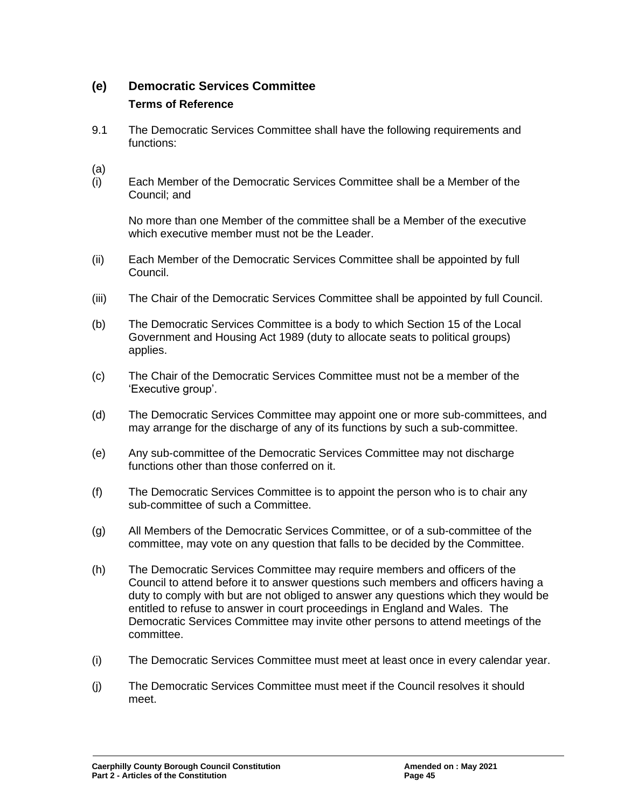## **(e) Democratic Services Committee Terms of Reference**

9.1 The Democratic Services Committee shall have the following requirements and functions:

(a)

(i) Each Member of the Democratic Services Committee shall be a Member of the Council; and

No more than one Member of the committee shall be a Member of the executive which executive member must not be the Leader.

- (ii) Each Member of the Democratic Services Committee shall be appointed by full Council.
- (iii) The Chair of the Democratic Services Committee shall be appointed by full Council.
- (b) The Democratic Services Committee is a body to which Section 15 of the Local Government and Housing Act 1989 (duty to allocate seats to political groups) applies.
- (c) The Chair of the Democratic Services Committee must not be a member of the 'Executive group'.
- (d) The Democratic Services Committee may appoint one or more sub-committees, and may arrange for the discharge of any of its functions by such a sub-committee.
- (e) Any sub-committee of the Democratic Services Committee may not discharge functions other than those conferred on it.
- (f) The Democratic Services Committee is to appoint the person who is to chair any sub-committee of such a Committee.
- (g) All Members of the Democratic Services Committee, or of a sub-committee of the committee, may vote on any question that falls to be decided by the Committee.
- (h) The Democratic Services Committee may require members and officers of the Council to attend before it to answer questions such members and officers having a duty to comply with but are not obliged to answer any questions which they would be entitled to refuse to answer in court proceedings in England and Wales. The Democratic Services Committee may invite other persons to attend meetings of the committee.
- (i) The Democratic Services Committee must meet at least once in every calendar year.
- (j) The Democratic Services Committee must meet if the Council resolves it should meet.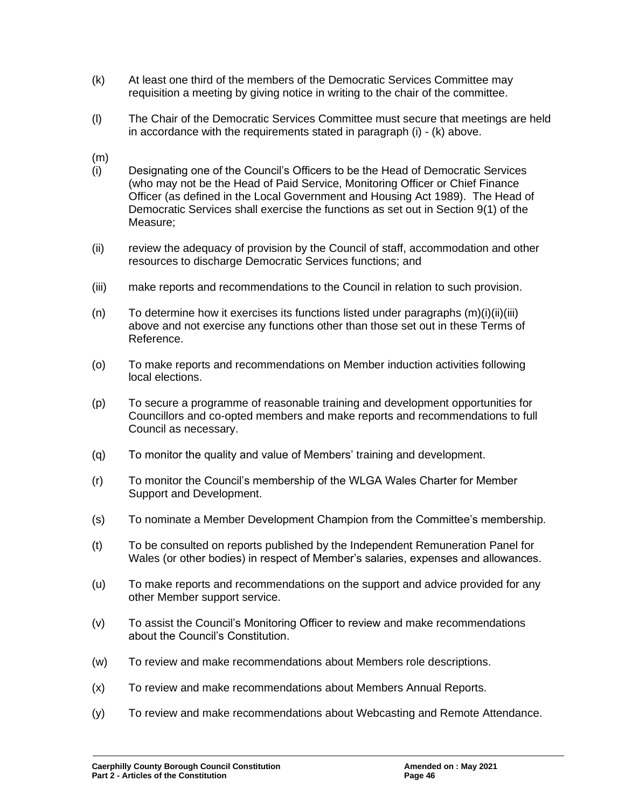- (k) At least one third of the members of the Democratic Services Committee may requisition a meeting by giving notice in writing to the chair of the committee.
- (l) The Chair of the Democratic Services Committee must secure that meetings are held in accordance with the requirements stated in paragraph (i) - (k) above.
- (m)
- (i) Designating one of the Council's Officers to be the Head of Democratic Services (who may not be the Head of Paid Service, Monitoring Officer or Chief Finance Officer (as defined in the Local Government and Housing Act 1989). The Head of Democratic Services shall exercise the functions as set out in Section 9(1) of the Measure;
- (ii) review the adequacy of provision by the Council of staff, accommodation and other resources to discharge Democratic Services functions; and
- (iii) make reports and recommendations to the Council in relation to such provision.
- $(n)$  To determine how it exercises its functions listed under paragraphs  $(m)(i)(ii)(iii)$ above and not exercise any functions other than those set out in these Terms of Reference.
- (o) To make reports and recommendations on Member induction activities following local elections.
- (p) To secure a programme of reasonable training and development opportunities for Councillors and co-opted members and make reports and recommendations to full Council as necessary.
- (q) To monitor the quality and value of Members' training and development.
- (r) To monitor the Council's membership of the WLGA Wales Charter for Member Support and Development.
- (s) To nominate a Member Development Champion from the Committee's membership.
- (t) To be consulted on reports published by the Independent Remuneration Panel for Wales (or other bodies) in respect of Member's salaries, expenses and allowances.
- (u) To make reports and recommendations on the support and advice provided for any other Member support service.
- (v) To assist the Council's Monitoring Officer to review and make recommendations about the Council's Constitution.
- (w) To review and make recommendations about Members role descriptions.
- (x) To review and make recommendations about Members Annual Reports.
- (y) To review and make recommendations about Webcasting and Remote Attendance.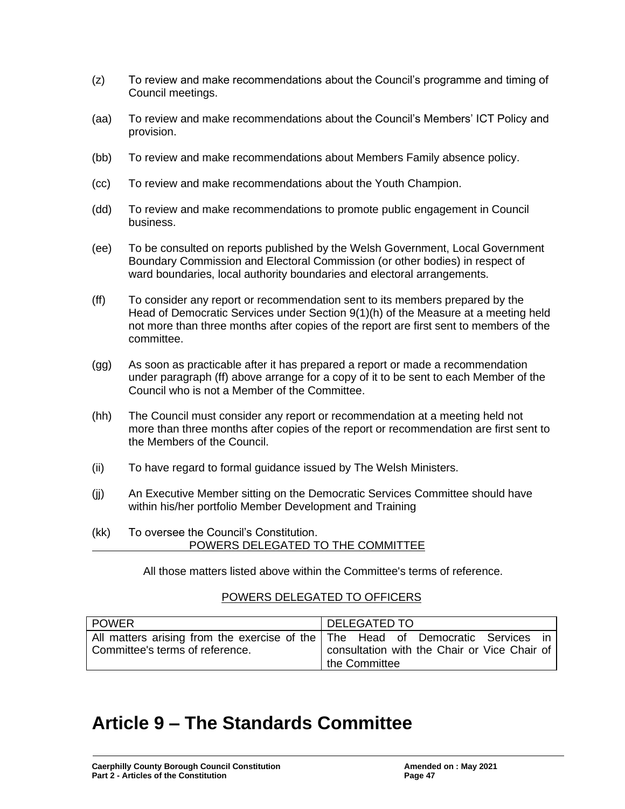- (z) To review and make recommendations about the Council's programme and timing of Council meetings.
- (aa) To review and make recommendations about the Council's Members' ICT Policy and provision.
- (bb) To review and make recommendations about Members Family absence policy.
- (cc) To review and make recommendations about the Youth Champion.
- (dd) To review and make recommendations to promote public engagement in Council business.
- (ee) To be consulted on reports published by the Welsh Government, Local Government Boundary Commission and Electoral Commission (or other bodies) in respect of ward boundaries, local authority boundaries and electoral arrangements.
- (ff) To consider any report or recommendation sent to its members prepared by the Head of Democratic Services under Section 9(1)(h) of the Measure at a meeting held not more than three months after copies of the report are first sent to members of the committee.
- (gg) As soon as practicable after it has prepared a report or made a recommendation under paragraph (ff) above arrange for a copy of it to be sent to each Member of the Council who is not a Member of the Committee.
- (hh) The Council must consider any report or recommendation at a meeting held not more than three months after copies of the report or recommendation are first sent to the Members of the Council.
- (ii) To have regard to formal guidance issued by The Welsh Ministers.
- (jj) An Executive Member sitting on the Democratic Services Committee should have within his/her portfolio Member Development and Training
- (kk) To oversee the Council's Constitution. POWERS DELEGATED TO THE COMMITTEE

All those matters listed above within the Committee's terms of reference.

## POWERS DELEGATED TO OFFICERS

| <b>POWER</b>                    | <b>DELEGATED TO</b>                                                                                                                                  |  |
|---------------------------------|------------------------------------------------------------------------------------------------------------------------------------------------------|--|
| Committee's terms of reference. | All matters arising from the exercise of the   The Head of Democratic Services in  <br>consultation with the Chair or Vice Chair of<br>the Committee |  |

## **Article 9 – The Standards Committee**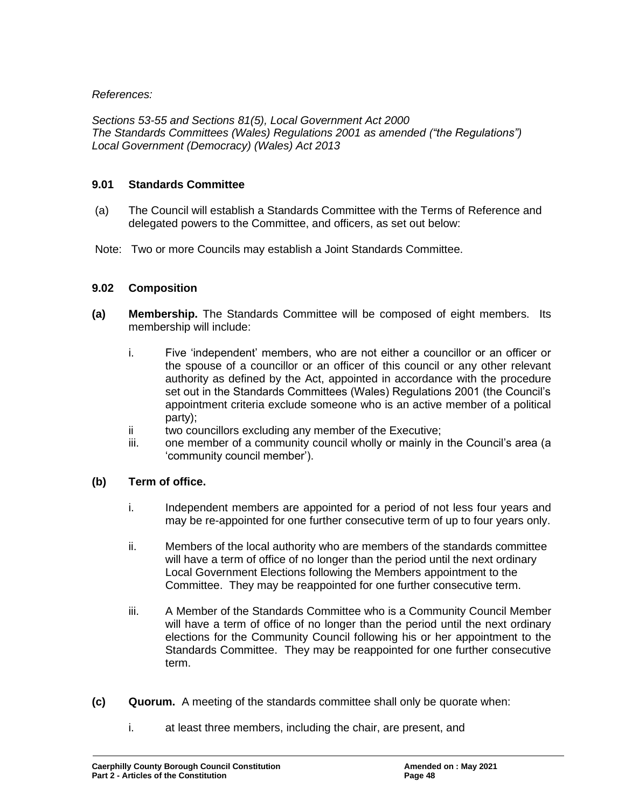## *References:*

*Sections 53-55 and Sections 81(5), Local Government Act 2000 The Standards Committees (Wales) Regulations 2001 as amended ("the Regulations") Local Government (Democracy) (Wales) Act 2013*

#### **9.01 Standards Committee**

- (a) The Council will establish a Standards Committee with the Terms of Reference and delegated powers to the Committee, and officers, as set out below:
- Note: Two or more Councils may establish a Joint Standards Committee.

### **9.02 Composition**

- **(a) Membership.** The Standards Committee will be composed of eight members. Its membership will include:
	- i. Five 'independent' members, who are not either a councillor or an officer or the spouse of a councillor or an officer of this council or any other relevant authority as defined by the Act, appointed in accordance with the procedure set out in the Standards Committees (Wales) Regulations 2001 (the Council's appointment criteria exclude someone who is an active member of a political party);
	- ii two councillors excluding any member of the Executive;
	- iii. one member of a community council wholly or mainly in the Council's area (a 'community council member').

#### **(b) Term of office.**

- i. Independent members are appointed for a period of not less four years and may be re-appointed for one further consecutive term of up to four years only.
- ii. Members of the local authority who are members of the standards committee will have a term of office of no longer than the period until the next ordinary Local Government Elections following the Members appointment to the Committee. They may be reappointed for one further consecutive term.
- iii. A Member of the Standards Committee who is a Community Council Member will have a term of office of no longer than the period until the next ordinary elections for the Community Council following his or her appointment to the Standards Committee. They may be reappointed for one further consecutive term.
- **(c) Quorum.** A meeting of the standards committee shall only be quorate when:
	- i. at least three members, including the chair, are present, and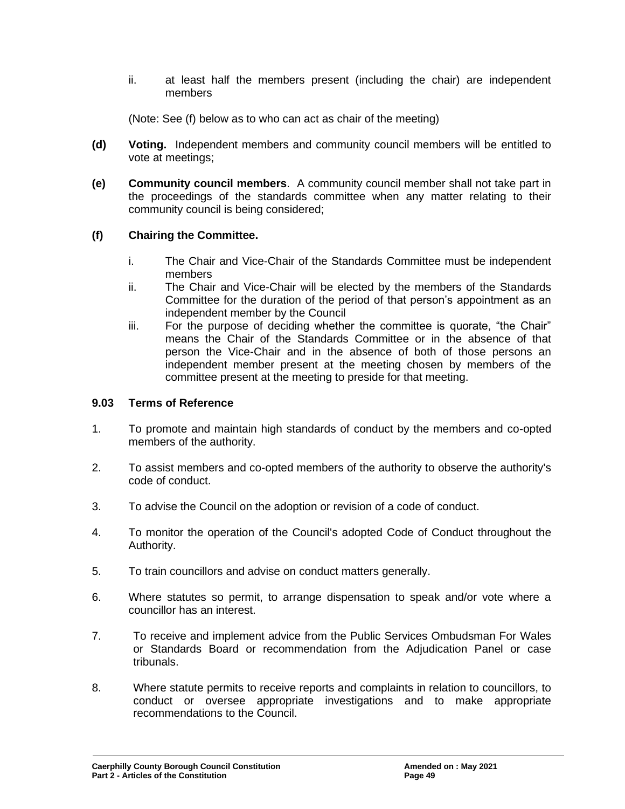ii. at least half the members present (including the chair) are independent members

(Note: See (f) below as to who can act as chair of the meeting)

- **(d) Voting.** Independent members and community council members will be entitled to vote at meetings;
- **(e) Community council members**. A community council member shall not take part in the proceedings of the standards committee when any matter relating to their community council is being considered;

## **(f) Chairing the Committee.**

- i. The Chair and Vice-Chair of the Standards Committee must be independent members
- ii. The Chair and Vice-Chair will be elected by the members of the Standards Committee for the duration of the period of that person's appointment as an independent member by the Council
- iii. For the purpose of deciding whether the committee is quorate, "the Chair" means the Chair of the Standards Committee or in the absence of that person the Vice-Chair and in the absence of both of those persons an independent member present at the meeting chosen by members of the committee present at the meeting to preside for that meeting.

### **9.03 Terms of Reference**

- 1. To promote and maintain high standards of conduct by the members and co-opted members of the authority.
- 2. To assist members and co-opted members of the authority to observe the authority's code of conduct.
- 3. To advise the Council on the adoption or revision of a code of conduct.
- 4. To monitor the operation of the Council's adopted Code of Conduct throughout the Authority.
- 5. To train councillors and advise on conduct matters generally.
- 6. Where statutes so permit, to arrange dispensation to speak and/or vote where a councillor has an interest.
- 7. To receive and implement advice from the Public Services Ombudsman For Wales or Standards Board or recommendation from the Adjudication Panel or case tribunals.
- 8. Where statute permits to receive reports and complaints in relation to councillors, to conduct or oversee appropriate investigations and to make appropriate recommendations to the Council.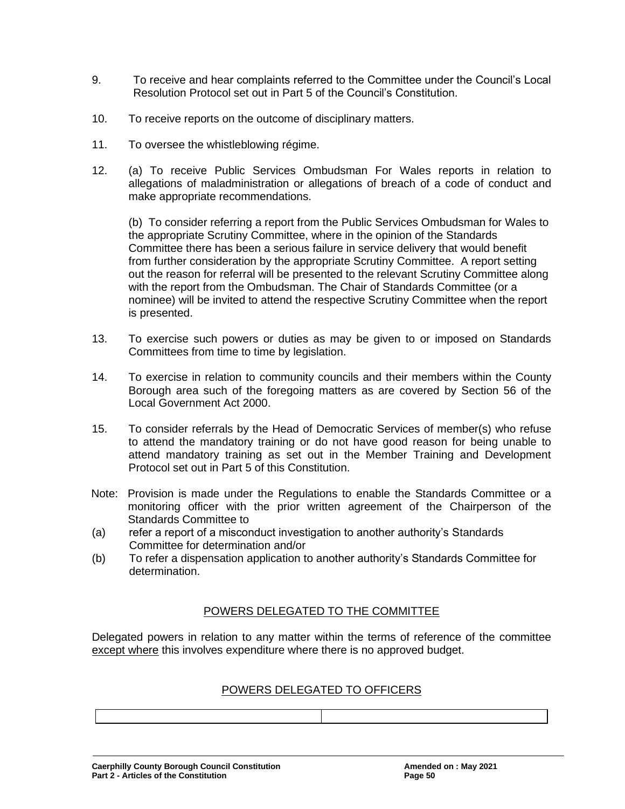- 9. To receive and hear complaints referred to the Committee under the Council's Local Resolution Protocol set out in Part 5 of the Council's Constitution.
- 10. To receive reports on the outcome of disciplinary matters.
- 11. To oversee the whistleblowing régime.
- 12. (a) To receive Public Services Ombudsman For Wales reports in relation to allegations of maladministration or allegations of breach of a code of conduct and make appropriate recommendations.

(b) To consider referring a report from the Public Services Ombudsman for Wales to the appropriate Scrutiny Committee, where in the opinion of the Standards Committee there has been a serious failure in service delivery that would benefit from further consideration by the appropriate Scrutiny Committee. A report setting out the reason for referral will be presented to the relevant Scrutiny Committee along with the report from the Ombudsman. The Chair of Standards Committee (or a nominee) will be invited to attend the respective Scrutiny Committee when the report is presented.

- 13. To exercise such powers or duties as may be given to or imposed on Standards Committees from time to time by legislation.
- 14. To exercise in relation to community councils and their members within the County Borough area such of the foregoing matters as are covered by Section 56 of the Local Government Act 2000.
- 15. To consider referrals by the Head of Democratic Services of member(s) who refuse to attend the mandatory training or do not have good reason for being unable to attend mandatory training as set out in the Member Training and Development Protocol set out in Part 5 of this Constitution.
- Note: Provision is made under the Regulations to enable the Standards Committee or a monitoring officer with the prior written agreement of the Chairperson of the Standards Committee to
- (a) refer a report of a misconduct investigation to another authority's Standards Committee for determination and/or
- (b) To refer a dispensation application to another authority's Standards Committee for determination.

## POWERS DELEGATED TO THE COMMITTEE

Delegated powers in relation to any matter within the terms of reference of the committee except where this involves expenditure where there is no approved budget.

## POWERS DELEGATED TO OFFICERS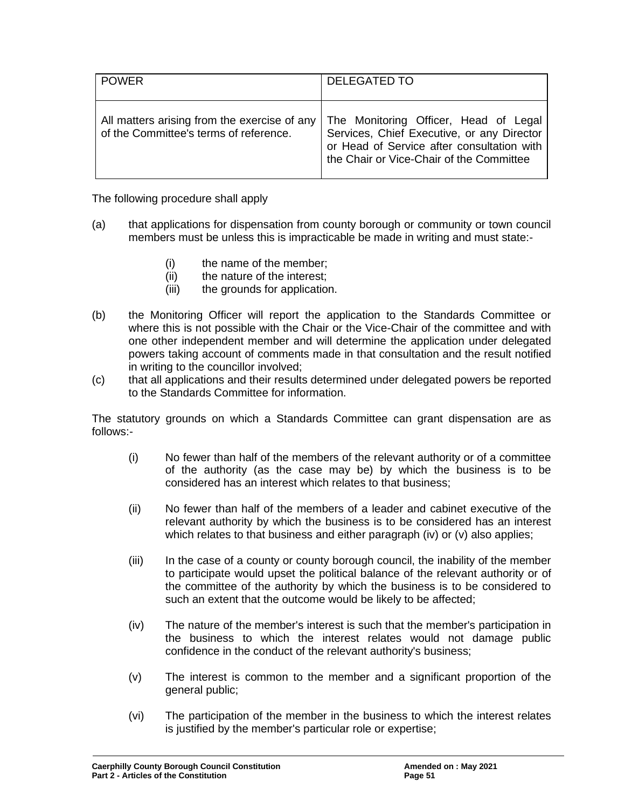| <b>POWER</b>                                                                           | <b>DELEGATED TO</b>                                                                                                                                                           |
|----------------------------------------------------------------------------------------|-------------------------------------------------------------------------------------------------------------------------------------------------------------------------------|
| All matters arising from the exercise of any<br>of the Committee's terms of reference. | The Monitoring Officer, Head of Legal<br>Services, Chief Executive, or any Director<br>or Head of Service after consultation with<br>the Chair or Vice-Chair of the Committee |

The following procedure shall apply

- (a) that applications for dispensation from county borough or community or town council members must be unless this is impracticable be made in writing and must state:-
	- (i) the name of the member;
	- (ii) the nature of the interest;
	- (iii) the grounds for application.
- (b) the Monitoring Officer will report the application to the Standards Committee or where this is not possible with the Chair or the Vice-Chair of the committee and with one other independent member and will determine the application under delegated powers taking account of comments made in that consultation and the result notified in writing to the councillor involved;
- (c) that all applications and their results determined under delegated powers be reported to the Standards Committee for information.

The statutory grounds on which a Standards Committee can grant dispensation are as follows:-

- (i) No fewer than half of the members of the relevant authority or of a committee of the authority (as the case may be) by which the business is to be considered has an interest which relates to that business;
- (ii) No fewer than half of the members of a leader and cabinet executive of the relevant authority by which the business is to be considered has an interest which relates to that business and either paragraph (iv) or (v) also applies;
- (iii) In the case of a county or county borough council, the inability of the member to participate would upset the political balance of the relevant authority or of the committee of the authority by which the business is to be considered to such an extent that the outcome would be likely to be affected;
- (iv) The nature of the member's interest is such that the member's participation in the business to which the interest relates would not damage public confidence in the conduct of the relevant authority's business;
- (v) The interest is common to the member and a significant proportion of the general public;
- (vi) The participation of the member in the business to which the interest relates is justified by the member's particular role or expertise;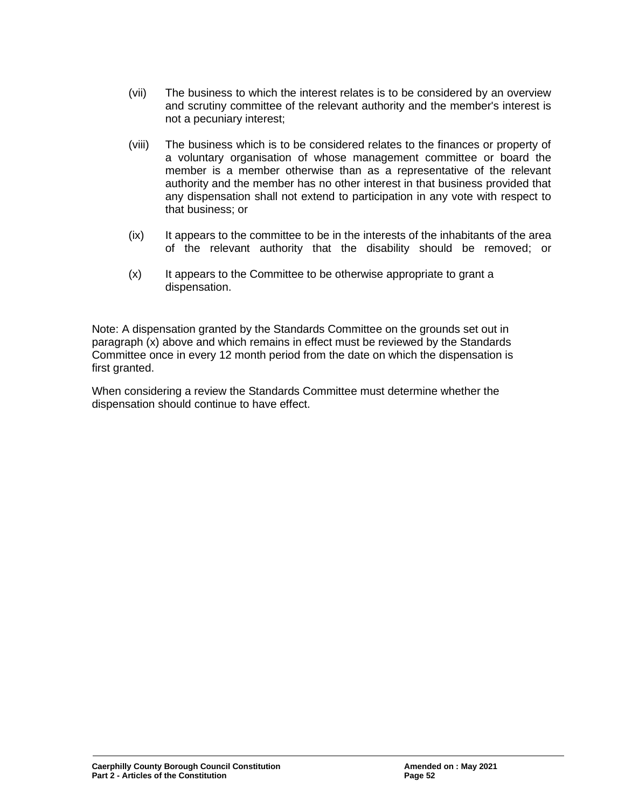- (vii) The business to which the interest relates is to be considered by an overview and scrutiny committee of the relevant authority and the member's interest is not a pecuniary interest;
- (viii) The business which is to be considered relates to the finances or property of a voluntary organisation of whose management committee or board the member is a member otherwise than as a representative of the relevant authority and the member has no other interest in that business provided that any dispensation shall not extend to participation in any vote with respect to that business; or
- $(ix)$  It appears to the committee to be in the interests of the inhabitants of the area of the relevant authority that the disability should be removed; or
- (x) It appears to the Committee to be otherwise appropriate to grant a dispensation.

Note: A dispensation granted by the Standards Committee on the grounds set out in paragraph (x) above and which remains in effect must be reviewed by the Standards Committee once in every 12 month period from the date on which the dispensation is first granted.

When considering a review the Standards Committee must determine whether the dispensation should continue to have effect.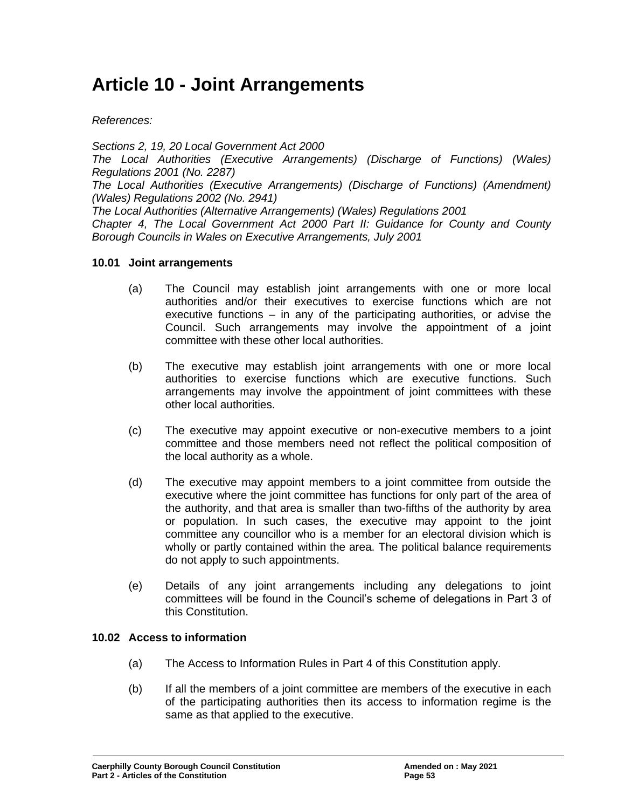## **Article 10 - Joint Arrangements**

*References:*

*Sections 2, 19, 20 Local Government Act 2000 The Local Authorities (Executive Arrangements) (Discharge of Functions) (Wales) Regulations 2001 (No. 2287)*

*The Local Authorities (Executive Arrangements) (Discharge of Functions) (Amendment) (Wales) Regulations 2002 (No. 2941)*

*The Local Authorities (Alternative Arrangements) (Wales) Regulations 2001 Chapter 4, The Local Government Act 2000 Part II: Guidance for County and County Borough Councils in Wales on Executive Arrangements, July 2001*

### **10.01 Joint arrangements**

- (a) The Council may establish joint arrangements with one or more local authorities and/or their executives to exercise functions which are not executive functions – in any of the participating authorities, or advise the Council. Such arrangements may involve the appointment of a joint committee with these other local authorities.
- (b) The executive may establish joint arrangements with one or more local authorities to exercise functions which are executive functions. Such arrangements may involve the appointment of joint committees with these other local authorities.
- (c) The executive may appoint executive or non-executive members to a joint committee and those members need not reflect the political composition of the local authority as a whole.
- (d) The executive may appoint members to a joint committee from outside the executive where the joint committee has functions for only part of the area of the authority, and that area is smaller than two-fifths of the authority by area or population. In such cases, the executive may appoint to the joint committee any councillor who is a member for an electoral division which is wholly or partly contained within the area. The political balance requirements do not apply to such appointments.
- (e) Details of any joint arrangements including any delegations to joint committees will be found in the Council's scheme of delegations in Part 3 of this Constitution.

## **10.02 Access to information**

- (a) The Access to Information Rules in Part 4 of this Constitution apply.
- (b) If all the members of a joint committee are members of the executive in each of the participating authorities then its access to information regime is the same as that applied to the executive.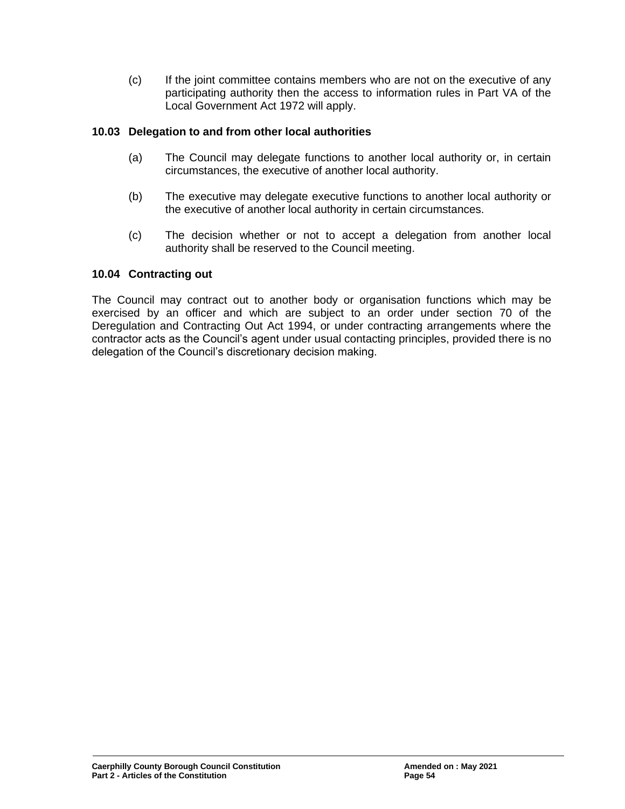(c) If the joint committee contains members who are not on the executive of any participating authority then the access to information rules in Part VA of the Local Government Act 1972 will apply.

## **10.03 Delegation to and from other local authorities**

- (a) The Council may delegate functions to another local authority or, in certain circumstances, the executive of another local authority.
- (b) The executive may delegate executive functions to another local authority or the executive of another local authority in certain circumstances.
- (c) The decision whether or not to accept a delegation from another local authority shall be reserved to the Council meeting.

### **10.04 Contracting out**

The Council may contract out to another body or organisation functions which may be exercised by an officer and which are subject to an order under section 70 of the Deregulation and Contracting Out Act 1994, or under contracting arrangements where the contractor acts as the Council's agent under usual contacting principles, provided there is no delegation of the Council's discretionary decision making.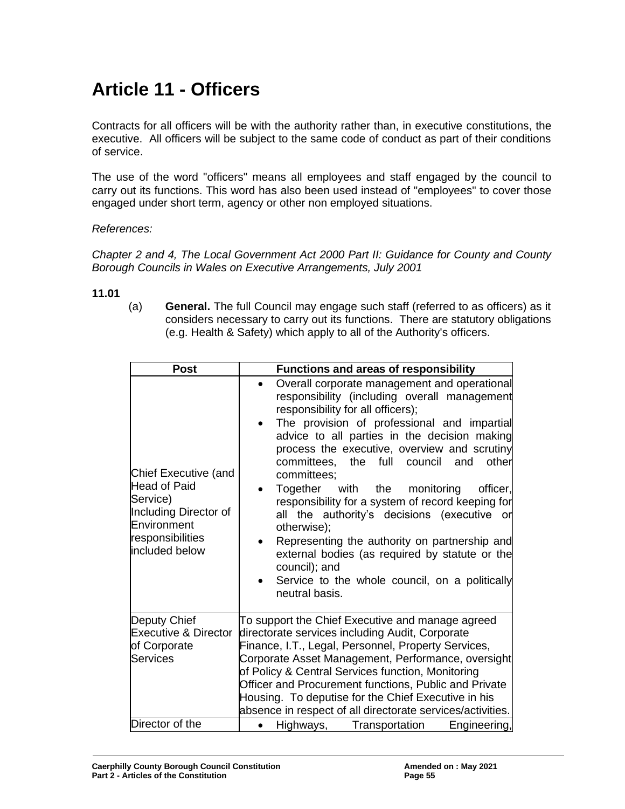# **Article 11 - Officers**

Contracts for all officers will be with the authority rather than, in executive constitutions, the executive. All officers will be subject to the same code of conduct as part of their conditions of service.

The use of the word "officers" means all employees and staff engaged by the council to carry out its functions. This word has also been used instead of "employees" to cover those engaged under short term, agency or other non employed situations.

### *References:*

*Chapter 2 and 4, The Local Government Act 2000 Part II: Guidance for County and County Borough Councils in Wales on Executive Arrangements, July 2001*

#### **11.01**

(a) **General.** The full Council may engage such staff (referred to as officers) as it considers necessary to carry out its functions. There are statutory obligations (e.g. Health & Safety) which apply to all of the Authority's officers.

| <b>Post</b>                                                                                                                                  | <b>Functions and areas of responsibility</b>                                                                                                                                                                                                                                                                                                                                                                                                                                                                                                                                                                                                                                                                                                        |  |
|----------------------------------------------------------------------------------------------------------------------------------------------|-----------------------------------------------------------------------------------------------------------------------------------------------------------------------------------------------------------------------------------------------------------------------------------------------------------------------------------------------------------------------------------------------------------------------------------------------------------------------------------------------------------------------------------------------------------------------------------------------------------------------------------------------------------------------------------------------------------------------------------------------------|--|
| <b>Chief Executive (and</b><br><b>Head of Paid</b><br>Service)<br>Including Director of<br>Environment<br>responsibilities<br>included below | Overall corporate management and operational<br>$\bullet$<br>responsibility (including overall management<br>responsibility for all officers);<br>The provision of professional and impartial<br>$\bullet$<br>advice to all parties in the decision making<br>process the executive, overview and scrutiny<br>the full<br>council<br>other<br>committees,<br>and<br>committees;<br>Together with the monitoring<br>officer.<br>$\bullet$<br>responsibility for a system of record keeping for<br>all the authority's decisions (executive or<br>otherwise);<br>Representing the authority on partnership and<br>external bodies (as required by statute or the<br>council); and<br>Service to the whole council, on a politically<br>neutral basis. |  |
| Deputy Chief<br><b>Executive &amp; Director</b><br>of Corporate<br><b>Services</b>                                                           | To support the Chief Executive and manage agreed<br>directorate services including Audit, Corporate<br>Finance, I.T., Legal, Personnel, Property Services,<br>Corporate Asset Management, Performance, oversight<br>of Policy & Central Services function, Monitoring<br>Officer and Procurement functions, Public and Private<br>Housing. To deputise for the Chief Executive in his<br>absence in respect of all directorate services/activities.                                                                                                                                                                                                                                                                                                 |  |
| Director of the                                                                                                                              | Highways, Transportation<br>Engineering,                                                                                                                                                                                                                                                                                                                                                                                                                                                                                                                                                                                                                                                                                                            |  |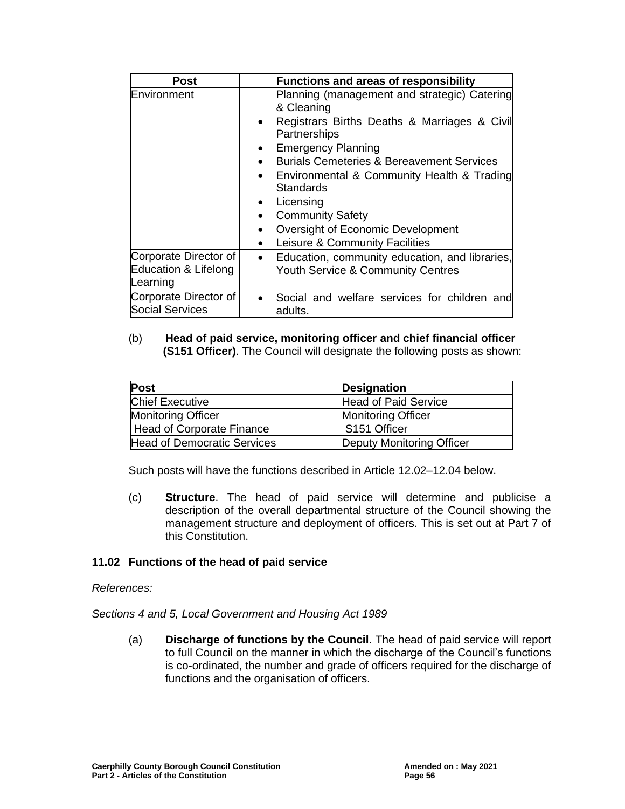| <b>Post</b>            | <b>Functions and areas of responsibility</b>                                                                                                                                                                                                                                                                                                                                                                                                                        |
|------------------------|---------------------------------------------------------------------------------------------------------------------------------------------------------------------------------------------------------------------------------------------------------------------------------------------------------------------------------------------------------------------------------------------------------------------------------------------------------------------|
| Environment            | Planning (management and strategic) Catering<br>& Cleaning<br>Registrars Births Deaths & Marriages & Civil<br>$\bullet$<br>Partnerships<br><b>Emergency Planning</b><br>$\bullet$<br><b>Burials Cemeteries &amp; Bereavement Services</b><br>• Environmental & Community Health & Trading<br><b>Standards</b><br>Licensing<br>$\bullet$<br><b>Community Safety</b><br>$\bullet$<br>Oversight of Economic Development<br>Leisure & Community Facilities<br>$\bullet$ |
| Corporate Director of  | Education, community education, and libraries,                                                                                                                                                                                                                                                                                                                                                                                                                      |
| Education & Lifelong   | $\bullet$                                                                                                                                                                                                                                                                                                                                                                                                                                                           |
| Learning               | <b>Youth Service &amp; Community Centres</b>                                                                                                                                                                                                                                                                                                                                                                                                                        |
| Corporate Director of  | Social and welfare services for children and                                                                                                                                                                                                                                                                                                                                                                                                                        |
| <b>Social Services</b> | adults.                                                                                                                                                                                                                                                                                                                                                                                                                                                             |

#### (b) **Head of paid service, monitoring officer and chief financial officer (S151 Officer)**. The Council will designate the following posts as shown:

| <b>Post</b>                 | <b>Designation</b>        |
|-----------------------------|---------------------------|
| <b>Chief Executive</b>      | Head of Paid Service      |
| <b>Monitoring Officer</b>   | <b>Monitoring Officer</b> |
| Head of Corporate Finance   | S151 Officer              |
| Head of Democratic Services | Deputy Monitoring Officer |

Such posts will have the functions described in Article 12.02–12.04 below.

(c) **Structure**. The head of paid service will determine and publicise a description of the overall departmental structure of the Council showing the management structure and deployment of officers. This is set out at Part 7 of this Constitution.

## **11.02 Functions of the head of paid service**

## *References:*

*Sections 4 and 5, Local Government and Housing Act 1989*

(a) **Discharge of functions by the Council**. The head of paid service will report to full Council on the manner in which the discharge of the Council's functions is co-ordinated, the number and grade of officers required for the discharge of functions and the organisation of officers.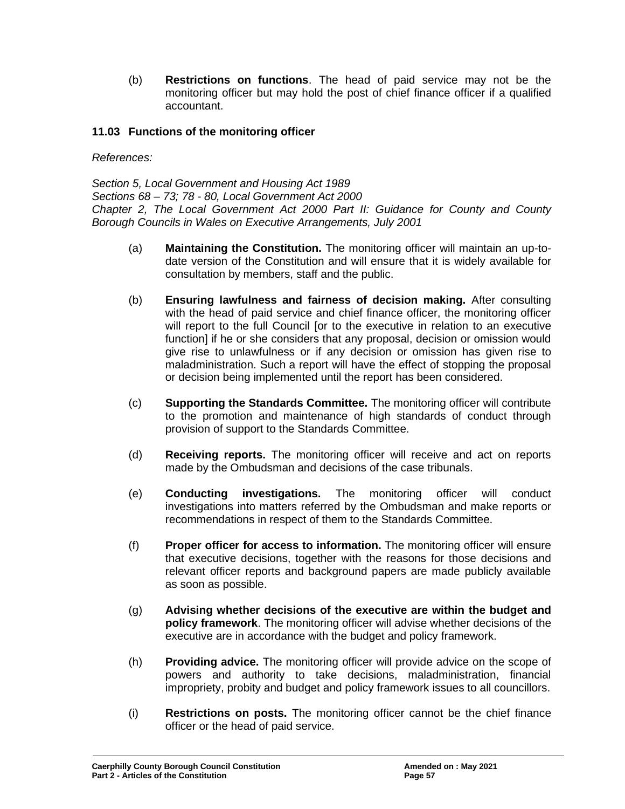(b) **Restrictions on functions**. The head of paid service may not be the monitoring officer but may hold the post of chief finance officer if a qualified accountant.

## **11.03 Functions of the monitoring officer**

*References:*

*Section 5, Local Government and Housing Act 1989 Sections 68 – 73; 78 - 80, Local Government Act 2000 Chapter 2, The Local Government Act 2000 Part II: Guidance for County and County Borough Councils in Wales on Executive Arrangements, July 2001*

- (a) **Maintaining the Constitution.** The monitoring officer will maintain an up-todate version of the Constitution and will ensure that it is widely available for consultation by members, staff and the public.
- (b) **Ensuring lawfulness and fairness of decision making.** After consulting with the head of paid service and chief finance officer, the monitoring officer will report to the full Council [or to the executive in relation to an executive function] if he or she considers that any proposal, decision or omission would give rise to unlawfulness or if any decision or omission has given rise to maladministration. Such a report will have the effect of stopping the proposal or decision being implemented until the report has been considered.
- (c) **Supporting the Standards Committee.** The monitoring officer will contribute to the promotion and maintenance of high standards of conduct through provision of support to the Standards Committee.
- (d) **Receiving reports.** The monitoring officer will receive and act on reports made by the Ombudsman and decisions of the case tribunals.
- (e) **Conducting investigations.** The monitoring officer will conduct investigations into matters referred by the Ombudsman and make reports or recommendations in respect of them to the Standards Committee.
- (f) **Proper officer for access to information.** The monitoring officer will ensure that executive decisions, together with the reasons for those decisions and relevant officer reports and background papers are made publicly available as soon as possible.
- (g) **Advising whether decisions of the executive are within the budget and policy framework**. The monitoring officer will advise whether decisions of the executive are in accordance with the budget and policy framework.
- (h) **Providing advice.** The monitoring officer will provide advice on the scope of powers and authority to take decisions, maladministration, financial impropriety, probity and budget and policy framework issues to all councillors.
- (i) **Restrictions on posts.** The monitoring officer cannot be the chief finance officer or the head of paid service.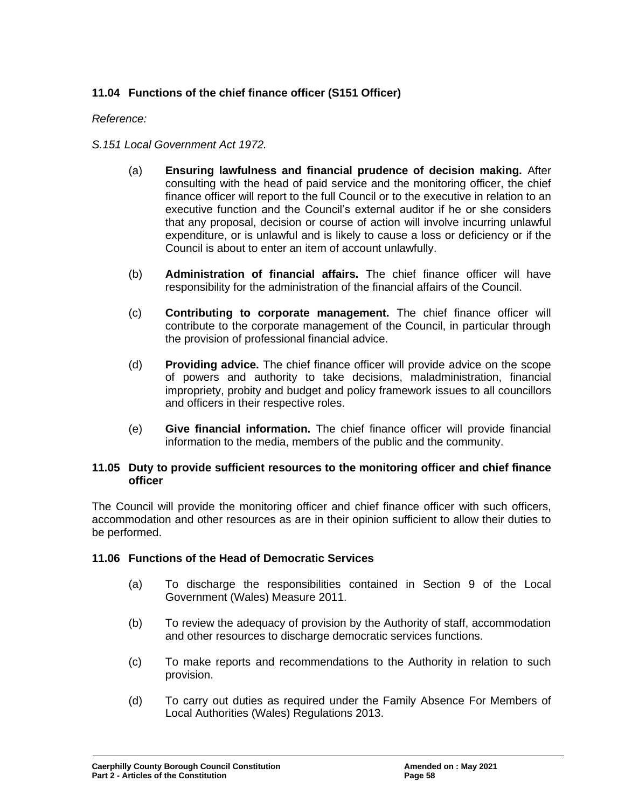## **11.04 Functions of the chief finance officer (S151 Officer)**

### *Reference:*

- *S.151 Local Government Act 1972.*
	- (a) **Ensuring lawfulness and financial prudence of decision making.** After consulting with the head of paid service and the monitoring officer, the chief finance officer will report to the full Council or to the executive in relation to an executive function and the Council's external auditor if he or she considers that any proposal, decision or course of action will involve incurring unlawful expenditure, or is unlawful and is likely to cause a loss or deficiency or if the Council is about to enter an item of account unlawfully.
	- (b) **Administration of financial affairs.** The chief finance officer will have responsibility for the administration of the financial affairs of the Council.
	- (c) **Contributing to corporate management.** The chief finance officer will contribute to the corporate management of the Council, in particular through the provision of professional financial advice.
	- (d) **Providing advice.** The chief finance officer will provide advice on the scope of powers and authority to take decisions, maladministration, financial impropriety, probity and budget and policy framework issues to all councillors and officers in their respective roles.
	- (e) **Give financial information.** The chief finance officer will provide financial information to the media, members of the public and the community.

#### **11.05 Duty to provide sufficient resources to the monitoring officer and chief finance officer**

The Council will provide the monitoring officer and chief finance officer with such officers, accommodation and other resources as are in their opinion sufficient to allow their duties to be performed.

#### **11.06 Functions of the Head of Democratic Services**

- (a) To discharge the responsibilities contained in Section 9 of the Local Government (Wales) Measure 2011.
- (b) To review the adequacy of provision by the Authority of staff, accommodation and other resources to discharge democratic services functions.
- (c) To make reports and recommendations to the Authority in relation to such provision.
- (d) To carry out duties as required under the Family Absence For Members of Local Authorities (Wales) Regulations 2013.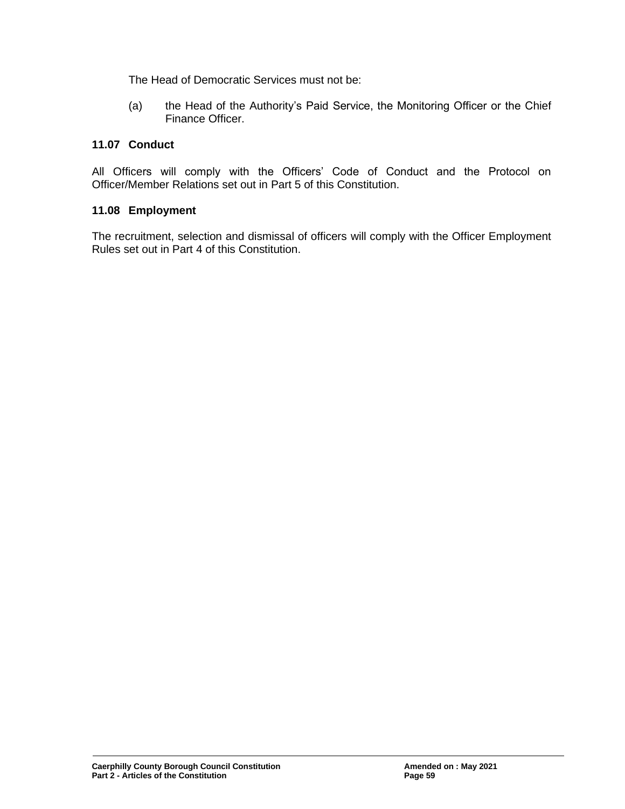The Head of Democratic Services must not be:

(a) the Head of the Authority's Paid Service, the Monitoring Officer or the Chief Finance Officer.

## **11.07 Conduct**

All Officers will comply with the Officers' Code of Conduct and the Protocol on Officer/Member Relations set out in Part 5 of this Constitution.

## **11.08 Employment**

The recruitment, selection and dismissal of officers will comply with the Officer Employment Rules set out in Part 4 of this Constitution.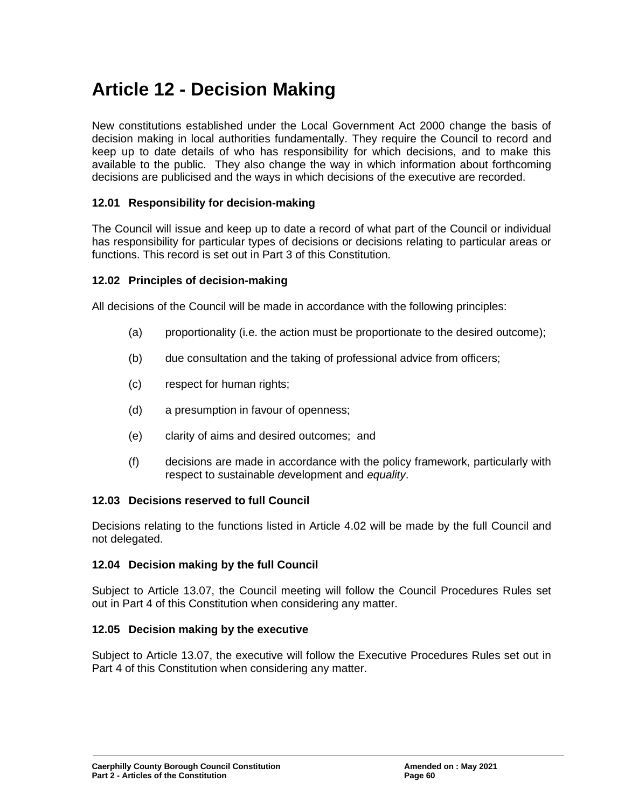# **Article 12 - Decision Making**

New constitutions established under the Local Government Act 2000 change the basis of decision making in local authorities fundamentally. They require the Council to record and keep up to date details of who has responsibility for which decisions, and to make this available to the public. They also change the way in which information about forthcoming decisions are publicised and the ways in which decisions of the executive are recorded.

### **12.01 Responsibility for decision-making**

The Council will issue and keep up to date a record of what part of the Council or individual has responsibility for particular types of decisions or decisions relating to particular areas or functions. This record is set out in Part 3 of this Constitution.

#### **12.02 Principles of decision-making**

All decisions of the Council will be made in accordance with the following principles:

- (a) proportionality (i.e. the action must be proportionate to the desired outcome);
- (b) due consultation and the taking of professional advice from officers;
- (c) respect for human rights;
- (d) a presumption in favour of openness;
- (e) clarity of aims and desired outcomes; and
- (f) decisions are made in accordance with the policy framework, particularly with respect to *s*ustainable *d*evelopment and *equality*.

#### **12.03 Decisions reserved to full Council**

Decisions relating to the functions listed in Article 4.02 will be made by the full Council and not delegated.

#### **12.04 Decision making by the full Council**

Subject to Article 13.07, the Council meeting will follow the Council Procedures Rules set out in Part 4 of this Constitution when considering any matter.

#### **12.05 Decision making by the executive**

Subject to Article 13.07, the executive will follow the Executive Procedures Rules set out in Part 4 of this Constitution when considering any matter.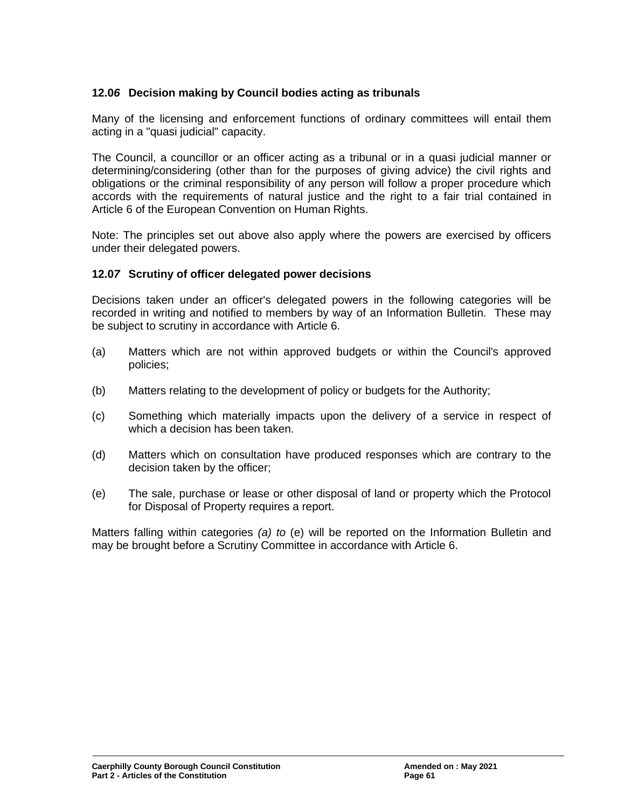## **12.0***6* **Decision making by Council bodies acting as tribunals**

Many of the licensing and enforcement functions of ordinary committees will entail them acting in a "quasi judicial" capacity.

The Council, a councillor or an officer acting as a tribunal or in a quasi judicial manner or determining/considering (other than for the purposes of giving advice) the civil rights and obligations or the criminal responsibility of any person will follow a proper procedure which accords with the requirements of natural justice and the right to a fair trial contained in Article 6 of the European Convention on Human Rights.

Note: The principles set out above also apply where the powers are exercised by officers under their delegated powers.

### **12.0***7* **Scrutiny of officer delegated power decisions**

Decisions taken under an officer's delegated powers in the following categories will be recorded in writing and notified to members by way of an Information Bulletin. These may be subject to scrutiny in accordance with Article 6.

- (a) Matters which are not within approved budgets or within the Council's approved policies;
- (b) Matters relating to the development of policy or budgets for the Authority;
- (c) Something which materially impacts upon the delivery of a service in respect of which a decision has been taken.
- (d) Matters which on consultation have produced responses which are contrary to the decision taken by the officer;
- (e) The sale, purchase or lease or other disposal of land or property which the Protocol for Disposal of Property requires a report.

Matters falling within categories *(a) to* (e) will be reported on the Information Bulletin and may be brought before a Scrutiny Committee in accordance with Article 6.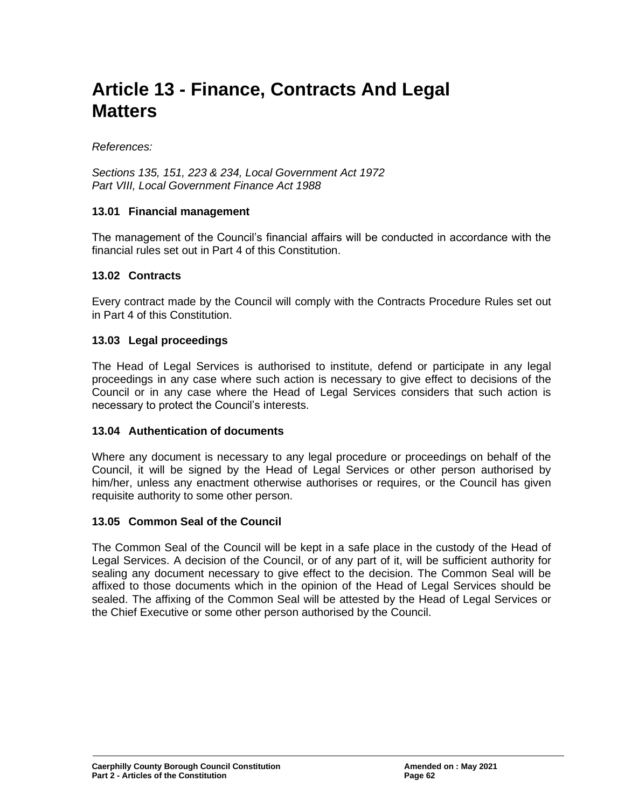# **Article 13 - Finance, Contracts And Legal Matters**

*References:*

*Sections 135, 151, 223 & 234, Local Government Act 1972 Part VIII, Local Government Finance Act 1988*

#### **13.01 Financial management**

The management of the Council's financial affairs will be conducted in accordance with the financial rules set out in Part 4 of this Constitution.

#### **13.02 Contracts**

Every contract made by the Council will comply with the Contracts Procedure Rules set out in Part 4 of this Constitution.

#### **13.03 Legal proceedings**

The Head of Legal Services is authorised to institute, defend or participate in any legal proceedings in any case where such action is necessary to give effect to decisions of the Council or in any case where the Head of Legal Services considers that such action is necessary to protect the Council's interests.

#### **13.04 Authentication of documents**

Where any document is necessary to any legal procedure or proceedings on behalf of the Council, it will be signed by the Head of Legal Services or other person authorised by him/her, unless any enactment otherwise authorises or requires, or the Council has given requisite authority to some other person.

#### **13.05 Common Seal of the Council**

The Common Seal of the Council will be kept in a safe place in the custody of the Head of Legal Services. A decision of the Council, or of any part of it, will be sufficient authority for sealing any document necessary to give effect to the decision. The Common Seal will be affixed to those documents which in the opinion of the Head of Legal Services should be sealed. The affixing of the Common Seal will be attested by the Head of Legal Services or the Chief Executive or some other person authorised by the Council.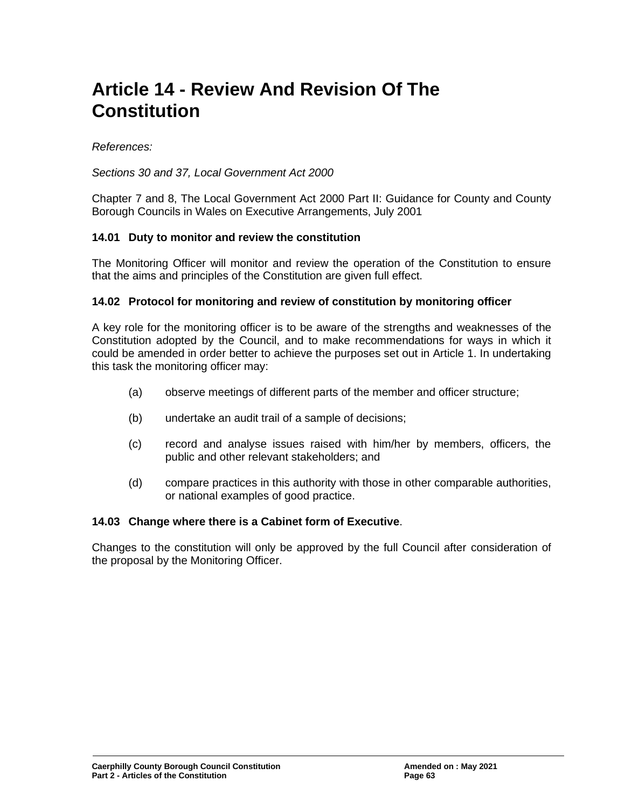# **Article 14 - Review And Revision Of The Constitution**

*References:*

*Sections 30 and 37, Local Government Act 2000*

Chapter 7 and 8, The Local Government Act 2000 Part II: Guidance for County and County Borough Councils in Wales on Executive Arrangements, July 2001

#### **14.01 Duty to monitor and review the constitution**

The Monitoring Officer will monitor and review the operation of the Constitution to ensure that the aims and principles of the Constitution are given full effect.

#### **14.02 Protocol for monitoring and review of constitution by monitoring officer**

A key role for the monitoring officer is to be aware of the strengths and weaknesses of the Constitution adopted by the Council, and to make recommendations for ways in which it could be amended in order better to achieve the purposes set out in Article 1. In undertaking this task the monitoring officer may:

- (a) observe meetings of different parts of the member and officer structure;
- (b) undertake an audit trail of a sample of decisions;
- (c) record and analyse issues raised with him/her by members, officers, the public and other relevant stakeholders; and
- (d) compare practices in this authority with those in other comparable authorities, or national examples of good practice.

#### **14.03 Change where there is a Cabinet form of Executive**.

Changes to the constitution will only be approved by the full Council after consideration of the proposal by the Monitoring Officer.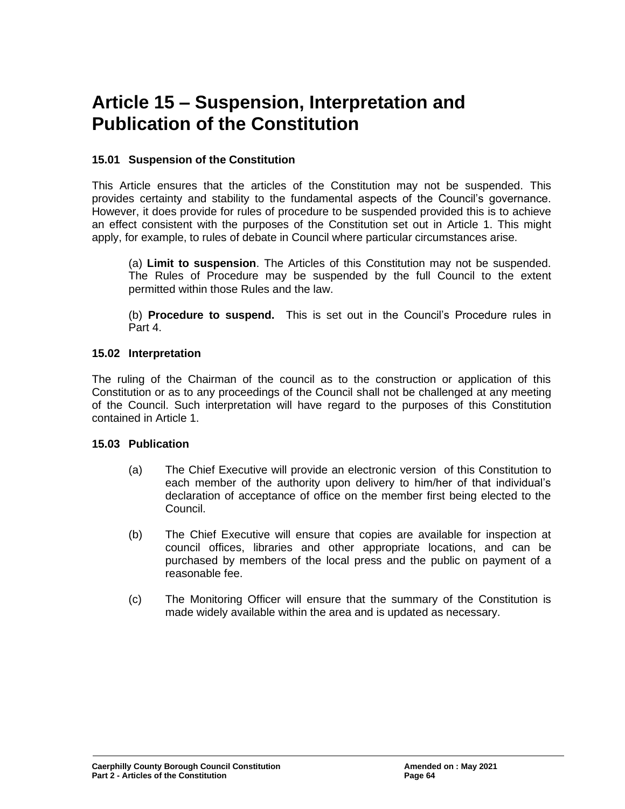## **Article 15 – Suspension, Interpretation and Publication of the Constitution**

## **15.01 Suspension of the Constitution**

This Article ensures that the articles of the Constitution may not be suspended. This provides certainty and stability to the fundamental aspects of the Council's governance. However, it does provide for rules of procedure to be suspended provided this is to achieve an effect consistent with the purposes of the Constitution set out in Article 1. This might apply, for example, to rules of debate in Council where particular circumstances arise.

(a) **Limit to suspension**. The Articles of this Constitution may not be suspended. The Rules of Procedure may be suspended by the full Council to the extent permitted within those Rules and the law.

(b) **Procedure to suspend.** This is set out in the Council's Procedure rules in Part 4.

### **15.02 Interpretation**

The ruling of the Chairman of the council as to the construction or application of this Constitution or as to any proceedings of the Council shall not be challenged at any meeting of the Council. Such interpretation will have regard to the purposes of this Constitution contained in Article 1.

## **15.03 Publication**

- (a) The Chief Executive will provide an electronic version of this Constitution to each member of the authority upon delivery to him/her of that individual's declaration of acceptance of office on the member first being elected to the Council.
- (b) The Chief Executive will ensure that copies are available for inspection at council offices, libraries and other appropriate locations, and can be purchased by members of the local press and the public on payment of a reasonable fee.
- (c) The Monitoring Officer will ensure that the summary of the Constitution is made widely available within the area and is updated as necessary.